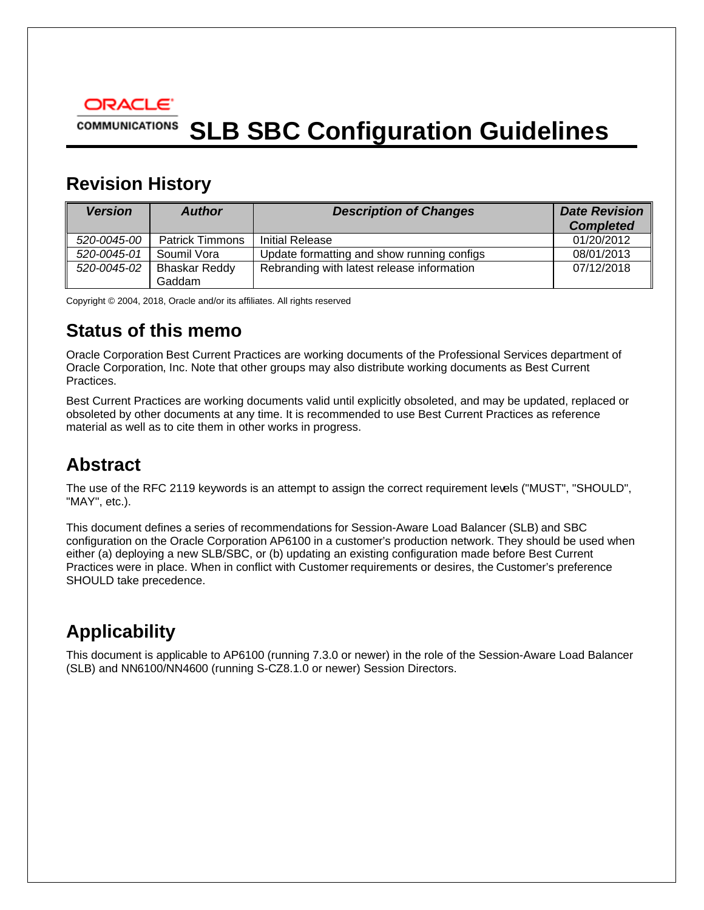

# **COMMUNICATIONS SLB SBC Configuration Guidelines**

# **Revision History**

| <b>Version</b> | <b>Author</b>          | <b>Description of Changes</b>              | Date Revision<br><b>Completed</b> |
|----------------|------------------------|--------------------------------------------|-----------------------------------|
| 520-0045-00    | <b>Patrick Timmons</b> | <b>Initial Release</b>                     | 01/20/2012                        |
| 520-0045-01    | Soumil Vora            | Update formatting and show running configs | 08/01/2013                        |
| 520-0045-02    | <b>Bhaskar Reddy</b>   | Rebranding with latest release information | 07/12/2018                        |
|                | Gaddam                 |                                            |                                   |

Copyright © 2004, 2018, Oracle and/or its affiliates. All rights reserved.

# **Status of this memo**

Oracle Corporation Best Current Practices are working documents of the Professional Services department of Oracle Corporation, Inc. Note that other groups may also distribute working documents as Best Current Practices.

Best Current Practices are working documents valid until explicitly obsoleted, and may be updated, replaced or obsoleted by other documents at any time. It is recommended to use Best Current Practices as reference material as well as to cite them in other works in progress.

# **Abstract**

The use of the RFC 2119 keywords is an attempt to assign the correct requirement levels ("MUST", "SHOULD", "MAY", etc.).

This document defines a series of recommendations for Session-Aware Load Balancer (SLB) and SBC configuration on the Oracle Corporation AP6100 in a customer's production network. They should be used when either (a) deploying a new SLB/SBC, or (b) updating an existing configuration made before Best Current Practices were in place. When in conflict with Customer requirements or desires, the Customer's preference SHOULD take precedence.

# **Applicability**

This document is applicable to AP6100 (running 7.3.0 or newer) in the role of the Session-Aware Load Balancer (SLB) and NN6100/NN4600 (running S-CZ8.1.0 or newer) Session Directors.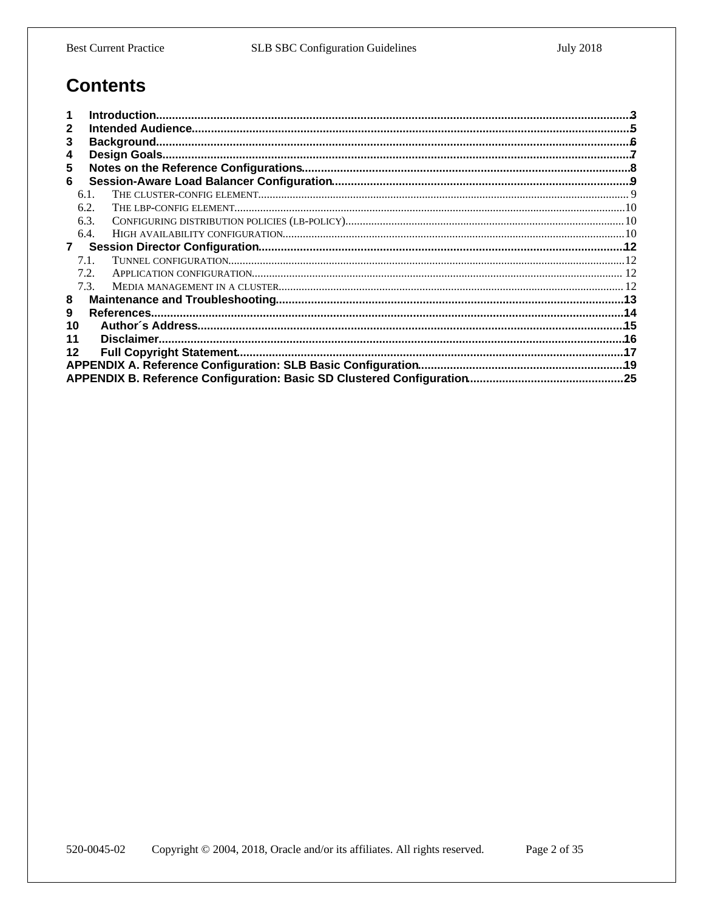# **Contents**

| 3  |      |  |  |
|----|------|--|--|
|    |      |  |  |
| 5  |      |  |  |
| 6  |      |  |  |
|    | 6.1. |  |  |
|    | 6.2. |  |  |
|    | 6.3. |  |  |
|    | 6.4. |  |  |
| 7  |      |  |  |
|    | 7.1. |  |  |
|    | 7.2. |  |  |
|    | 7.3. |  |  |
| 8  |      |  |  |
| 9  |      |  |  |
| 10 |      |  |  |
| 11 |      |  |  |
| 12 |      |  |  |
|    |      |  |  |
|    |      |  |  |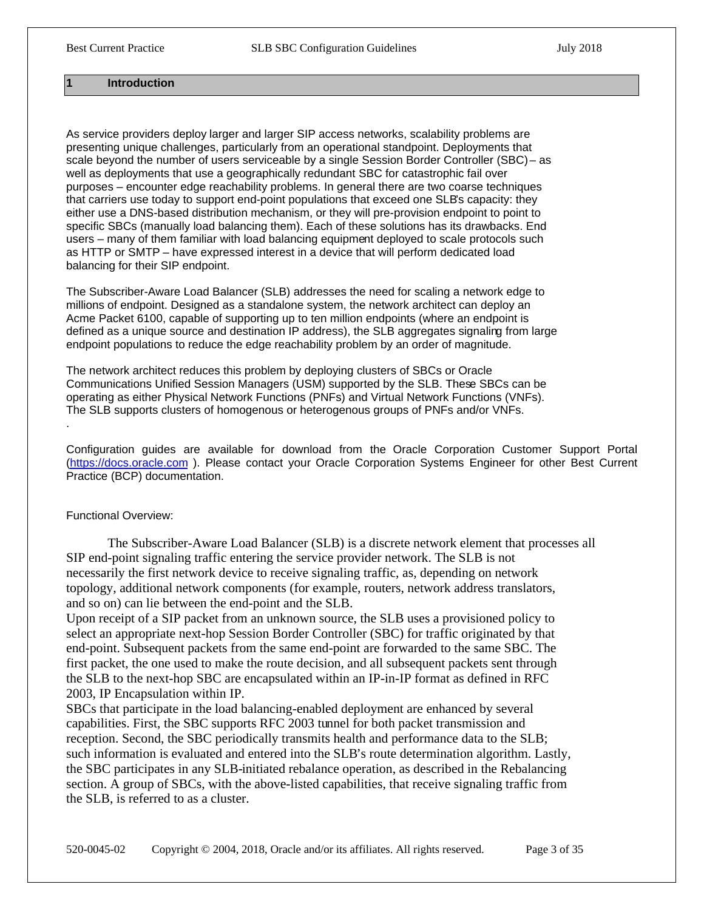### <span id="page-2-0"></span>**1 Introduction**

As service providers deploy larger and larger SIP access networks, scalability problems are presenting unique challenges, particularly from an operational standpoint. Deployments that scale beyond the number of users serviceable by a single Session Border Controller (SBC) – as well as deployments that use a geographically redundant SBC for catastrophic fail over purposes – encounter edge reachability problems. In general there are two coarse techniques that carriers use today to support end-point populations that exceed one SLB's capacity: they either use a DNS-based distribution mechanism, or they will pre-provision endpoint to point to specific SBCs (manually load balancing them). Each of these solutions has its drawbacks. End users – many of them familiar with load balancing equipment deployed to scale protocols such as HTTP or SMTP – have expressed interest in a device that will perform dedicated load balancing for their SIP endpoint.

The Subscriber-Aware Load Balancer (SLB) addresses the need for scaling a network edge to millions of endpoint. Designed as a standalone system, the network architect can deploy an Acme Packet 6100, capable of supporting up to ten million endpoints (where an endpoint is defined as a unique source and destination IP address), the SLB aggregates signaling from large endpoint populations to reduce the edge reachability problem by an order of magnitude.

The network architect reduces this problem by deploying clusters of SBCs or Oracle Communications Unified Session Managers (USM) supported by the SLB. These SBCs can be operating as either Physical Network Functions (PNFs) and Virtual Network Functions (VNFs). The SLB supports clusters of homogenous or heterogenous groups of PNFs and/or VNFs. .

Configuration guides are available for download from the Oracle Corporation Customer Support Portal [\(https://docs.oracle.com](https://docs.oracle.com) ). Please contact your Oracle Corporation Systems Engineer for other Best Current Practice (BCP) documentation.

#### Functional Overview:

The Subscriber-Aware Load Balancer (SLB) is a discrete network element that processes all SIP end-point signaling traffic entering the service provider network. The SLB is not necessarily the first network device to receive signaling traffic, as, depending on network topology, additional network components (for example, routers, network address translators, and so on) can lie between the end-point and the SLB.

Upon receipt of a SIP packet from an unknown source, the SLB uses a provisioned policy to select an appropriate next-hop Session Border Controller (SBC) for traffic originated by that end-point. Subsequent packets from the same end-point are forwarded to the same SBC. The first packet, the one used to make the route decision, and all subsequent packets sent through the SLB to the next-hop SBC are encapsulated within an IP-in-IP format as defined in RFC 2003, IP Encapsulation within IP.

SBCs that participate in the load balancing-enabled deployment are enhanced by several capabilities. First, the SBC supports RFC 2003 tunnel for both packet transmission and reception. Second, the SBC periodically transmits health and performance data to the SLB; such information is evaluated and entered into the SLB's route determination algorithm. Lastly, the SBC participates in any SLB-initiated rebalance operation, as described in the Rebalancing section. A group of SBCs, with the above-listed capabilities, that receive signaling traffic from the SLB, is referred to as a cluster.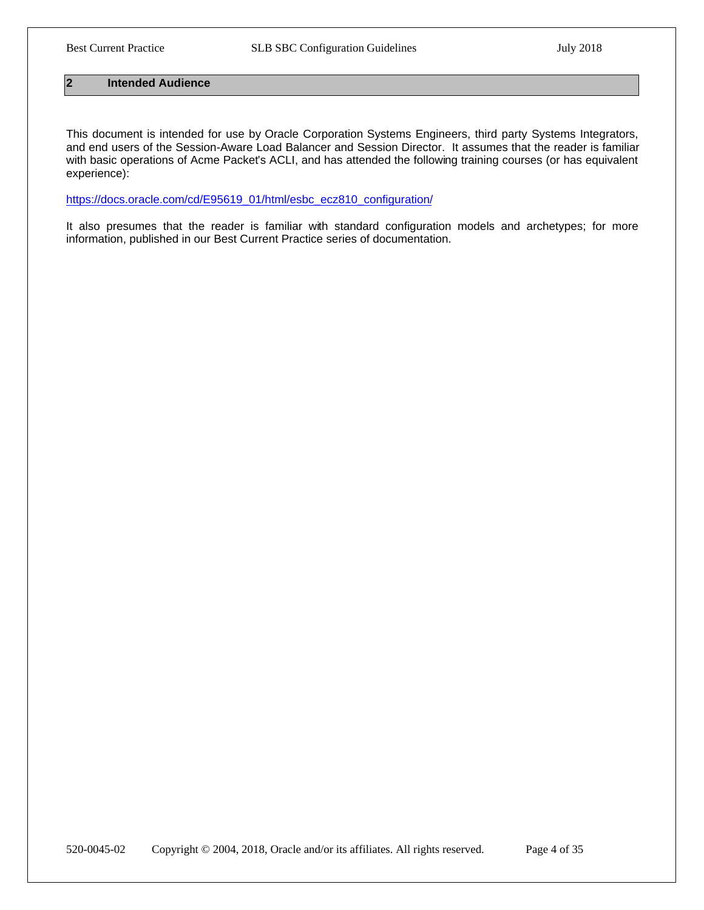### <span id="page-3-0"></span>**2 Intended Audience**

This document is intended for use by Oracle Corporation Systems Engineers, third party Systems Integrators, and end users of the Session-Aware Load Balancer and Session Director. It assumes that the reader is familiar with basic operations of Acme Packet's ACLI, and has attended the following training courses (or has equivalent experience):

#### [https://docs.oracle.com/cd/E95619\\_01/html/esbc\\_ecz810\\_configuration/](https://docs.oracle.com/cd/E95619_01/html/esbc_ecz810_configuration/)

It also presumes that the reader is familiar with standard configuration models and archetypes; for more information, published in our Best Current Practice series of documentation.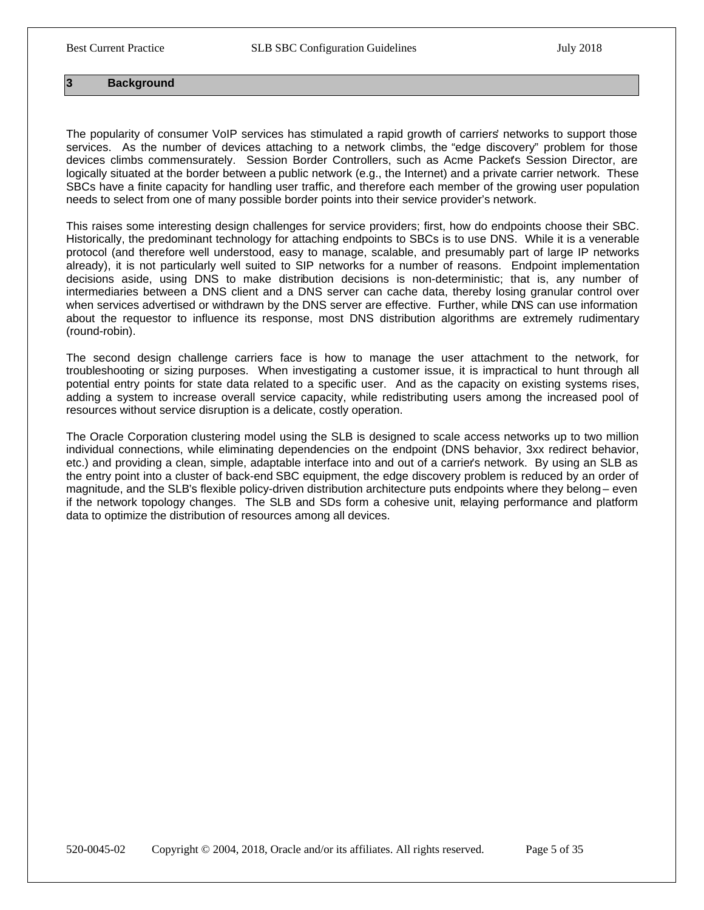#### <span id="page-4-0"></span>**3 Background**

The popularity of consumer VoIP services has stimulated a rapid growth of carriers' networks to support those services. As the number of devices attaching to a network climbs, the "edge discovery" problem for those devices climbs commensurately. Session Border Controllers, such as Acme Packet's Session Director, are logically situated at the border between a public network (e.g., the Internet) and a private carrier network. These SBCs have a finite capacity for handling user traffic, and therefore each member of the growing user population needs to select from one of many possible border points into their service provider's network.

This raises some interesting design challenges for service providers; first, how do endpoints choose their SBC. Historically, the predominant technology for attaching endpoints to SBCs is to use DNS. While it is a venerable protocol (and therefore well understood, easy to manage, scalable, and presumably part of large IP networks already), it is not particularly well suited to SIP networks for a number of reasons. Endpoint implementation decisions aside, using DNS to make distribution decisions is non-deterministic; that is, any number of intermediaries between a DNS client and a DNS server can cache data, thereby losing granular control over when services advertised or withdrawn by the DNS server are effective. Further, while DNS can use information about the requestor to influence its response, most DNS distribution algorithms are extremely rudimentary (round-robin).

The second design challenge carriers face is how to manage the user attachment to the network, for troubleshooting or sizing purposes. When investigating a customer issue, it is impractical to hunt through all potential entry points for state data related to a specific user. And as the capacity on existing systems rises, adding a system to increase overall service capacity, while redistributing users among the increased pool of resources without service disruption is a delicate, costly operation.

The Oracle Corporation clustering model using the SLB is designed to scale access networks up to two million individual connections, while eliminating dependencies on the endpoint (DNS behavior, 3xx redirect behavior, etc.) and providing a clean, simple, adaptable interface into and out of a carrier's network. By using an SLB as the entry point into a cluster of back-end SBC equipment, the edge discovery problem is reduced by an order of magnitude, and the SLB's flexible policy-driven distribution architecture puts endpoints where they belong – even if the network topology changes. The SLB and SDs form a cohesive unit, relaying performance and platform data to optimize the distribution of resources among all devices.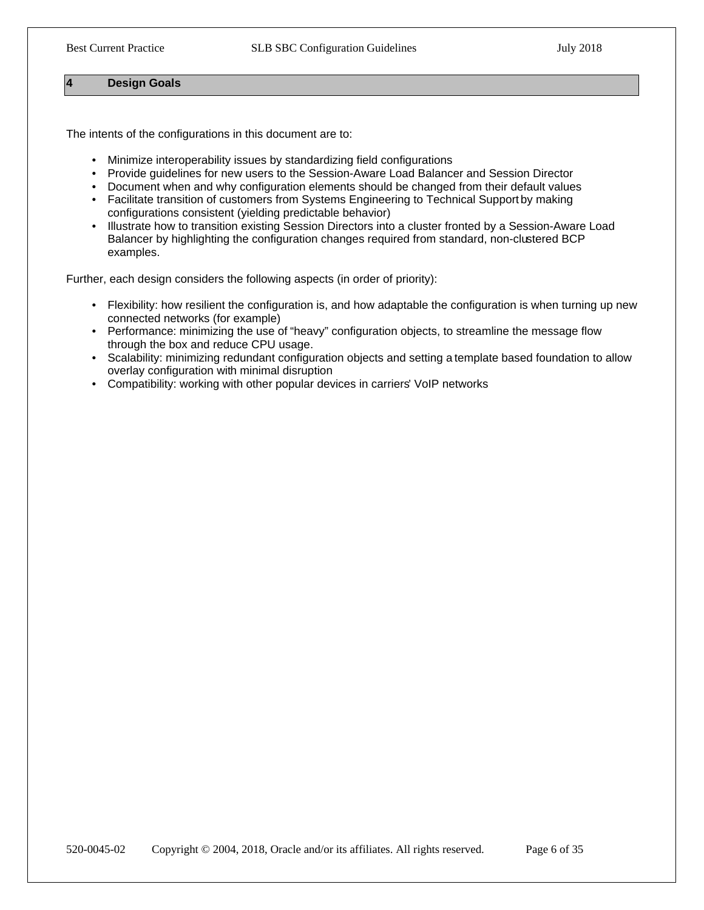### <span id="page-5-0"></span>**4 Design Goals**

The intents of the configurations in this document are to:

- Minimize interoperability issues by standardizing field configurations
- Provide guidelines for new users to the Session-Aware Load Balancer and Session Director
- Document when and why configuration elements should be changed from their default values
- Facilitate transition of customers from Systems Engineering to Technical Support by making configurations consistent (yielding predictable behavior)
- Illustrate how to transition existing Session Directors into a cluster fronted by a Session-Aware Load Balancer by highlighting the configuration changes required from standard, non-clustered BCP examples.

Further, each design considers the following aspects (in order of priority):

- Flexibility: how resilient the configuration is, and how adaptable the configuration is when turning up new connected networks (for example)
- Performance: minimizing the use of "heavy" configuration objects, to streamline the message flow through the box and reduce CPU usage.
- Scalability: minimizing redundant configuration objects and setting a template based foundation to allow overlay configuration with minimal disruption
- Compatibility: working with other popular devices in carriers' VoIP networks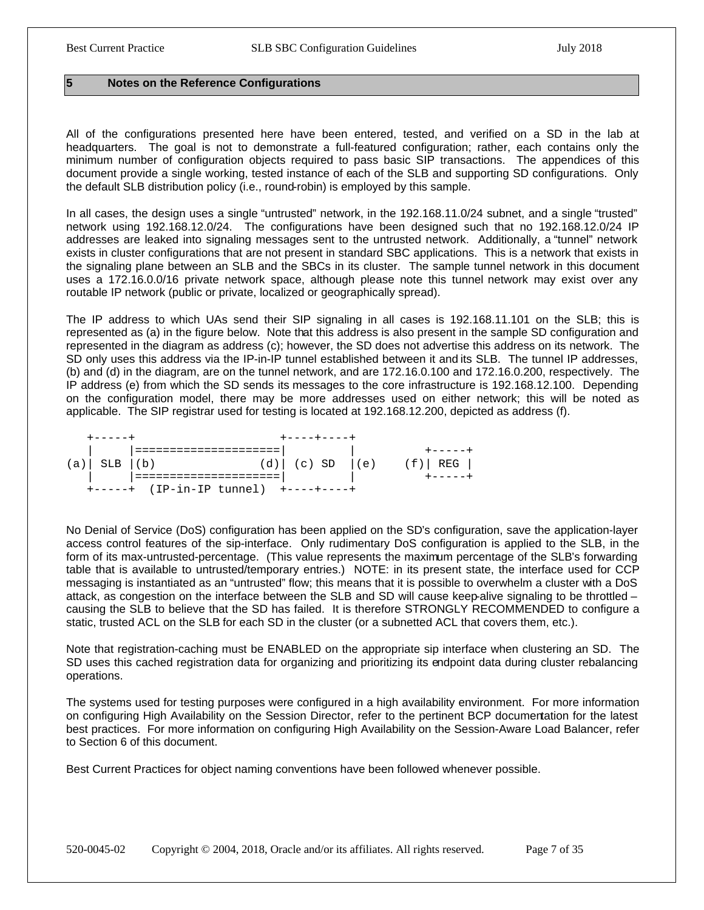### <span id="page-6-0"></span>**5 Notes on the Reference Configurations**

All of the configurations presented here have been entered, tested, and verified on a SD in the lab at headquarters. The goal is not to demonstrate a full-featured configuration; rather, each contains only the minimum number of configuration objects required to pass basic SIP transactions. The appendices of this document provide a single working, tested instance of each of the SLB and supporting SD configurations. Only the default SLB distribution policy (i.e., round-robin) is employed by this sample.

In all cases, the design uses a single "untrusted" network, in the 192.168.11.0/24 subnet, and a single "trusted" network using 192.168.12.0/24. The configurations have been designed such that no 192.168.12.0/24 IP addresses are leaked into signaling messages sent to the untrusted network. Additionally, a "tunnel" network exists in cluster configurations that are not present in standard SBC applications. This is a network that exists in the signaling plane between an SLB and the SBCs in its cluster. The sample tunnel network in this document uses a 172.16.0.0/16 private network space, although please note this tunnel network may exist over any routable IP network (public or private, localized or geographically spread).

The IP address to which UAs send their SIP signaling in all cases is 192.168.11.101 on the SLB; this is represented as (a) in the figure below. Note that this address is also present in the sample SD configuration and represented in the diagram as address (c); however, the SD does not advertise this address on its network. The SD only uses this address via the IP-in-IP tunnel established between it and its SLB. The tunnel IP addresses, (b) and (d) in the diagram, are on the tunnel network, and are 172.16.0.100 and 172.16.0.200, respectively. The IP address (e) from which the SD sends its messages to the core infrastructure is 192.168.12.100. Depending on the configuration model, there may be more addresses used on either network; this will be noted as applicable. The SIP registrar used for testing is located at 192.168.12.200, depicted as address (f).

|                 |                                        |  | +----+----+        |           |
|-----------------|----------------------------------------|--|--------------------|-----------|
|                 |                                        |  |                    |           |
| $(a)$ SLB $(b)$ |                                        |  | (d)   (c) SD   (e) | $(f)$ REG |
|                 |                                        |  |                    |           |
|                 | $+---++$ (IP-in-IP tunnel) $+---+---+$ |  |                    |           |

No Denial of Service (DoS) configuration has been applied on the SD's configuration, save the application-layer access control features of the sip-interface. Only rudimentary DoS configuration is applied to the SLB, in the form of its max-untrusted-percentage. (This value represents the maximum percentage of the SLB's forwarding table that is available to untrusted/temporary entries.) NOTE: in its present state, the interface used for CCP messaging is instantiated as an "untrusted" flow; this means that it is possible to overwhelm a cluster with a DoS attack, as congestion on the interface between the SLB and SD will cause keep-alive signaling to be throttled – causing the SLB to believe that the SD has failed. It is therefore STRONGLY RECOMMENDED to configure a static, trusted ACL on the SLB for each SD in the cluster (or a subnetted ACL that covers them, etc.).

Note that registration-caching must be ENABLED on the appropriate sip interface when clustering an SD. The SD uses this cached registration data for organizing and prioritizing its endpoint data during cluster rebalancing operations.

The systems used for testing purposes were configured in a high availability environment. For more information on configuring High Availability on the Session Director, refer to the pertinent BCP documentation for the latest best practices. For more information on configuring High Availability on the Session-Aware Load Balancer, refer to Section 6 of this document.

Best Current Practices for object naming conventions have been followed whenever possible.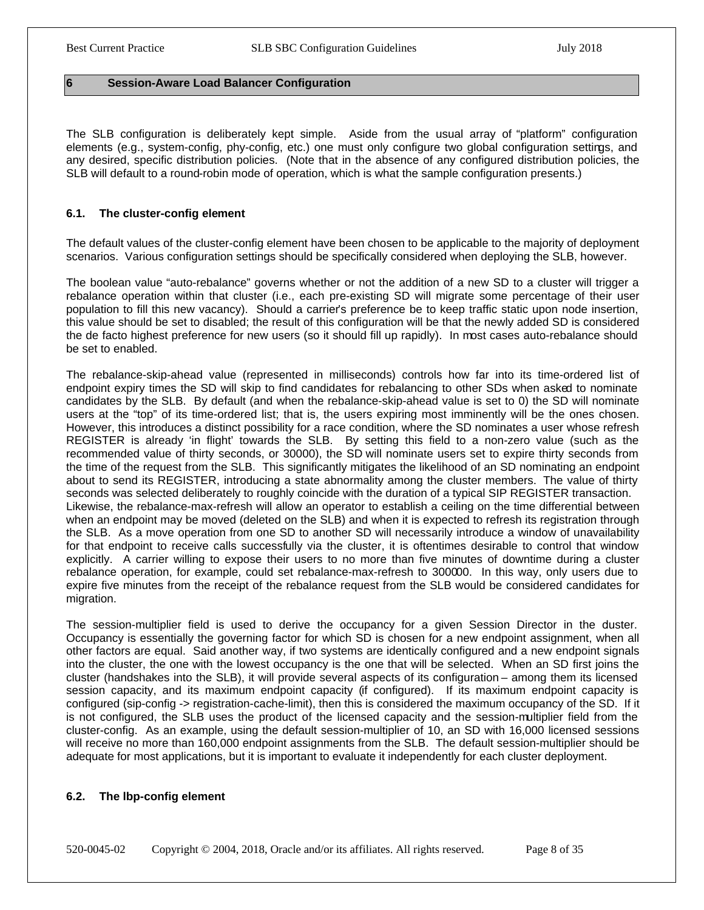#### <span id="page-7-0"></span>**6 Session-Aware Load Balancer Configuration**

The SLB configuration is deliberately kept simple. Aside from the usual array of "platform" configuration elements (e.g., system-config, phy-config, etc.) one must only configure two global configuration settings, and any desired, specific distribution policies. (Note that in the absence of any configured distribution policies, the SLB will default to a round-robin mode of operation, which is what the sample configuration presents.)

#### <span id="page-7-1"></span>**6.1. The cluster-config element**

The default values of the cluster-config element have been chosen to be applicable to the majority of deployment scenarios. Various configuration settings should be specifically considered when deploying the SLB, however.

The boolean value "auto-rebalance" governs whether or not the addition of a new SD to a cluster will trigger a rebalance operation within that cluster (i.e., each pre-existing SD will migrate some percentage of their user population to fill this new vacancy). Should a carrier's preference be to keep traffic static upon node insertion, this value should be set to disabled; the result of this configuration will be that the newly added SD is considered the de facto highest preference for new users (so it should fill up rapidly). In most cases auto-rebalance should be set to enabled.

The rebalance-skip-ahead value (represented in milliseconds) controls how far into its time-ordered list of endpoint expiry times the SD will skip to find candidates for rebalancing to other SDs when asked to nominate candidates by the SLB. By default (and when the rebalance-skip-ahead value is set to 0) the SD will nominate users at the "top" of its time-ordered list; that is, the users expiring most imminently will be the ones chosen. However, this introduces a distinct possibility for a race condition, where the SD nominates a user whose refresh REGISTER is already 'in flight' towards the SLB. By setting this field to a non-zero value (such as the recommended value of thirty seconds, or 30000), the SD will nominate users set to expire thirty seconds from the time of the request from the SLB. This significantly mitigates the likelihood of an SD nominating an endpoint about to send its REGISTER, introducing a state abnormality among the cluster members. The value of thirty seconds was selected deliberately to roughly coincide with the duration of a typical SIP REGISTER transaction. Likewise, the rebalance-max-refresh will allow an operator to establish a ceiling on the time differential between when an endpoint may be moved (deleted on the SLB) and when it is expected to refresh its registration through the SLB. As a move operation from one SD to another SD will necessarily introduce a window of unavailability for that endpoint to receive calls successfully via the cluster, it is oftentimes desirable to control that window explicitly. A carrier willing to expose their users to no more than five minutes of downtime during a cluster rebalance operation, for example, could set rebalance-max-refresh to 300000. In this way, only users due to expire five minutes from the receipt of the rebalance request from the SLB would be considered candidates for migration.

The session-multiplier field is used to derive the occupancy for a given Session Director in the duster. Occupancy is essentially the governing factor for which SD is chosen for a new endpoint assignment, when all other factors are equal. Said another way, if two systems are identically configured and a new endpoint signals into the cluster, the one with the lowest occupancy is the one that will be selected. When an SD first joins the cluster (handshakes into the SLB), it will provide several aspects of its configuration – among them its licensed session capacity, and its maximum endpoint capacity (if configured). If its maximum endpoint capacity is configured (sip-config -> registration-cache-limit), then this is considered the maximum occupancy of the SD. If it is not configured, the SLB uses the product of the licensed capacity and the session-multiplier field from the cluster-config. As an example, using the default session-multiplier of 10, an SD with 16,000 licensed sessions will receive no more than 160,000 endpoint assignments from the SLB. The default session-multiplier should be adequate for most applications, but it is important to evaluate it independently for each cluster deployment.

### <span id="page-7-2"></span>**6.2. The lbp-config element**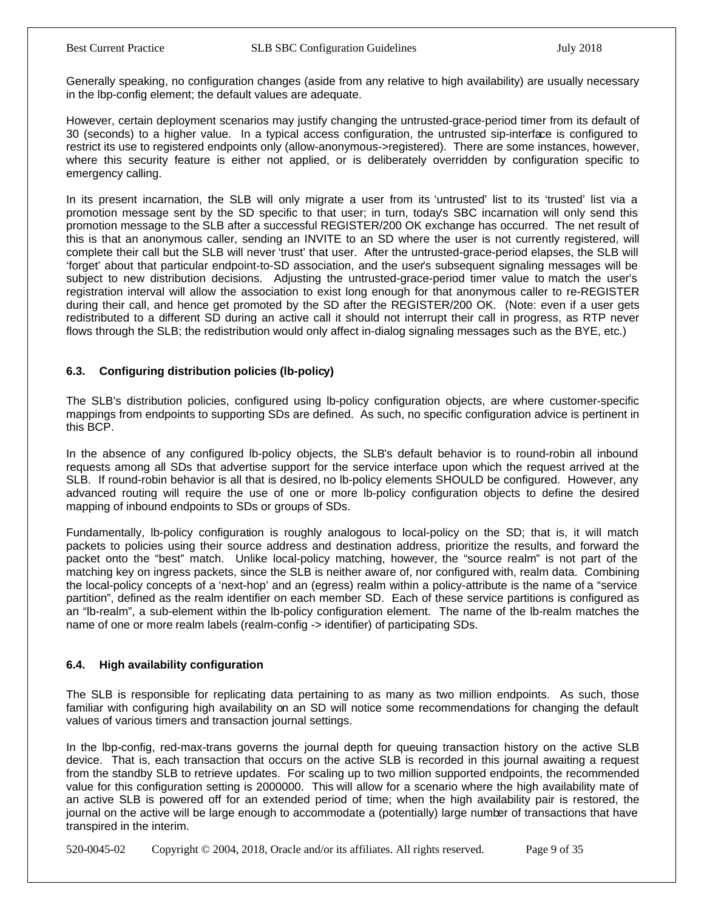Generally speaking, no configuration changes (aside from any relative to high availability) are usually necessary in the lbp-config element; the default values are adequate.

However, certain deployment scenarios may justify changing the untrusted-grace-period timer from its default of 30 (seconds) to a higher value. In a typical access configuration, the untrusted sip-interface is configured to restrict its use to registered endpoints only (allow-anonymous->registered). There are some instances, however, where this security feature is either not applied, or is deliberately overridden by configuration specific to emergency calling.

In its present incarnation, the SLB will only migrate a user from its 'untrusted' list to its 'trusted' list via a promotion message sent by the SD specific to that user; in turn, today's SBC incarnation will only send this promotion message to the SLB after a successful REGISTER/200 OK exchange has occurred. The net result of this is that an anonymous caller, sending an INVITE to an SD where the user is not currently registered, will complete their call but the SLB will never 'trust' that user. After the untrusted-grace-period elapses, the SLB will 'forget' about that particular endpoint-to-SD association, and the user's subsequent signaling messages will be subject to new distribution decisions. Adjusting the untrusted-grace-period timer value to match the user's registration interval will allow the association to exist long enough for that anonymous caller to re-REGISTER during their call, and hence get promoted by the SD after the REGISTER/200 OK. (Note: even if a user gets redistributed to a different SD during an active call it should not interrupt their call in progress, as RTP never flows through the SLB; the redistribution would only affect in-dialog signaling messages such as the BYE, etc.)

#### <span id="page-8-0"></span>**6.3. Configuring distribution policies (lb-policy)**

The SLB's distribution policies, configured using lb-policy configuration objects, are where customer-specific mappings from endpoints to supporting SDs are defined. As such, no specific configuration advice is pertinent in this BCP.

In the absence of any configured lb-policy objects, the SLB's default behavior is to round-robin all inbound requests among all SDs that advertise support for the service interface upon which the request arrived at the SLB. If round-robin behavior is all that is desired, no lb-policy elements SHOULD be configured. However, any advanced routing will require the use of one or more lb-policy configuration objects to define the desired mapping of inbound endpoints to SDs or groups of SDs.

Fundamentally, lb-policy configuration is roughly analogous to local-policy on the SD; that is, it will match packets to policies using their source address and destination address, prioritize the results, and forward the packet onto the "best" match. Unlike local-policy matching, however, the "source realm" is not part of the matching key on ingress packets, since the SLB is neither aware of, nor configured with, realm data. Combining the local-policy concepts of a 'next-hop' and an (egress) realm within a policy-attribute is the name of a "service partition", defined as the realm identifier on each member SD. Each of these service partitions is configured as an "lb-realm", a sub-element within the lb-policy configuration element. The name of the lb-realm matches the name of one or more realm labels (realm-config -> identifier) of participating SDs.

#### <span id="page-8-1"></span>**6.4. High availability configuration**

The SLB is responsible for replicating data pertaining to as many as two million endpoints. As such, those familiar with configuring high availability on an SD will notice some recommendations for changing the default values of various timers and transaction journal settings.

In the lbp-config, red-max-trans governs the journal depth for queuing transaction history on the active SLB device. That is, each transaction that occurs on the active SLB is recorded in this journal awaiting a request from the standby SLB to retrieve updates. For scaling up to two million supported endpoints, the recommended value for this configuration setting is 2000000. This will allow for a scenario where the high availability mate of an active SLB is powered off for an extended period of time; when the high availability pair is restored, the journal on the active will be large enough to accommodate a (potentially) large number of transactions that have transpired in the interim.

520-0045-02 Copyright © 2004, 2018, Oracle and/or its affiliates. All rights reserved. Page 9 of 35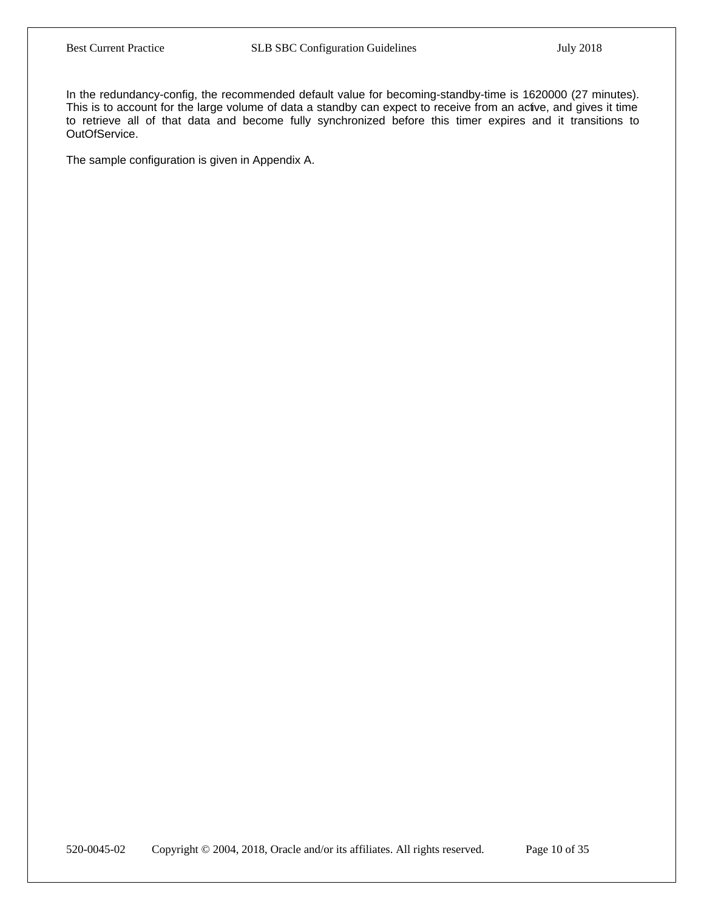In the redundancy-config, the recommended default value for becoming-standby-time is 1620000 (27 minutes). This is to account for the large volume of data a standby can expect to receive from an active, and gives it time to retrieve all of that data and become fully synchronized before this timer expires and it transitions to OutOfService.

The sample configuration is given in Appendix A.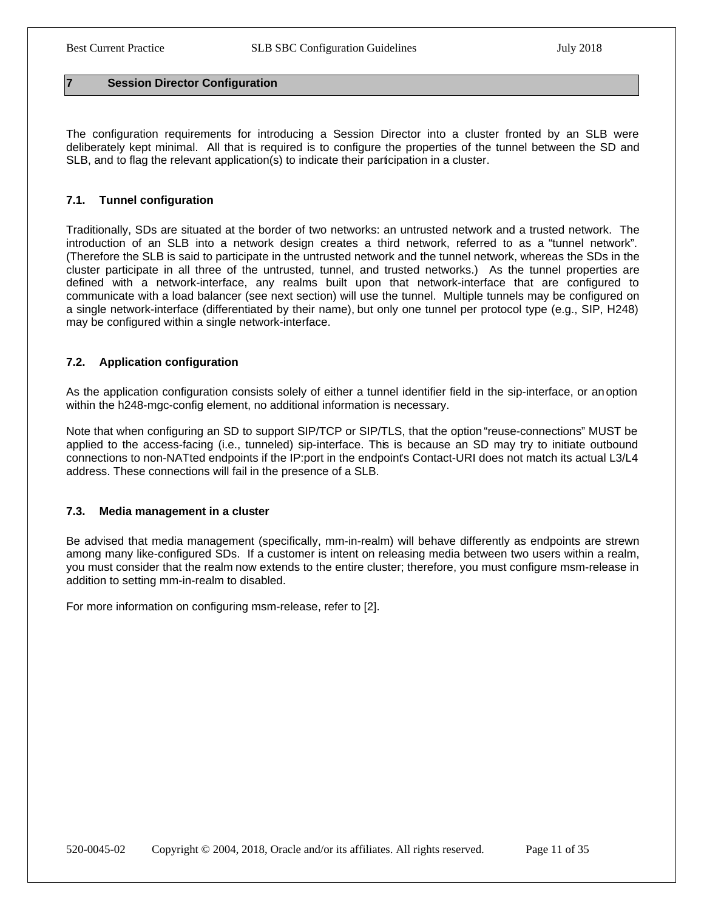### <span id="page-10-0"></span>**7 Session Director Configuration**

The configuration requirements for introducing a Session Director into a cluster fronted by an SLB were deliberately kept minimal. All that is required is to configure the properties of the tunnel between the SD and SLB, and to flag the relevant application(s) to indicate their participation in a cluster.

#### <span id="page-10-1"></span>**7.1. Tunnel configuration**

Traditionally, SDs are situated at the border of two networks: an untrusted network and a trusted network. The introduction of an SLB into a network design creates a third network, referred to as a "tunnel network". (Therefore the SLB is said to participate in the untrusted network and the tunnel network, whereas the SDs in the cluster participate in all three of the untrusted, tunnel, and trusted networks.) As the tunnel properties are defined with a network-interface, any realms built upon that network-interface that are configured to communicate with a load balancer (see next section) will use the tunnel. Multiple tunnels may be configured on a single network-interface (differentiated by their name), but only one tunnel per protocol type (e.g., SIP, H248) may be configured within a single network-interface.

### <span id="page-10-2"></span>**7.2. Application configuration**

As the application configuration consists solely of either a tunnel identifier field in the sip-interface, or an option within the h248-mgc-config element, no additional information is necessary.

Note that when configuring an SD to support SIP/TCP or SIP/TLS, that the option "reuse-connections" MUST be applied to the access-facing (i.e., tunneled) sip-interface. This is because an SD may try to initiate outbound connections to non-NATted endpoints if the IP:port in the endpoint's Contact-URI does not match its actual L3/L4 address. These connections will fail in the presence of a SLB.

#### <span id="page-10-3"></span>**7.3. Media management in a cluster**

Be advised that media management (specifically, mm-in-realm) will behave differently as endpoints are strewn among many like-configured SDs. If a customer is intent on releasing media between two users within a realm, you must consider that the realm now extends to the entire cluster; therefore, you must configure msm-release in addition to setting mm-in-realm to disabled.

For more information on configuring msm-release, refer to [2].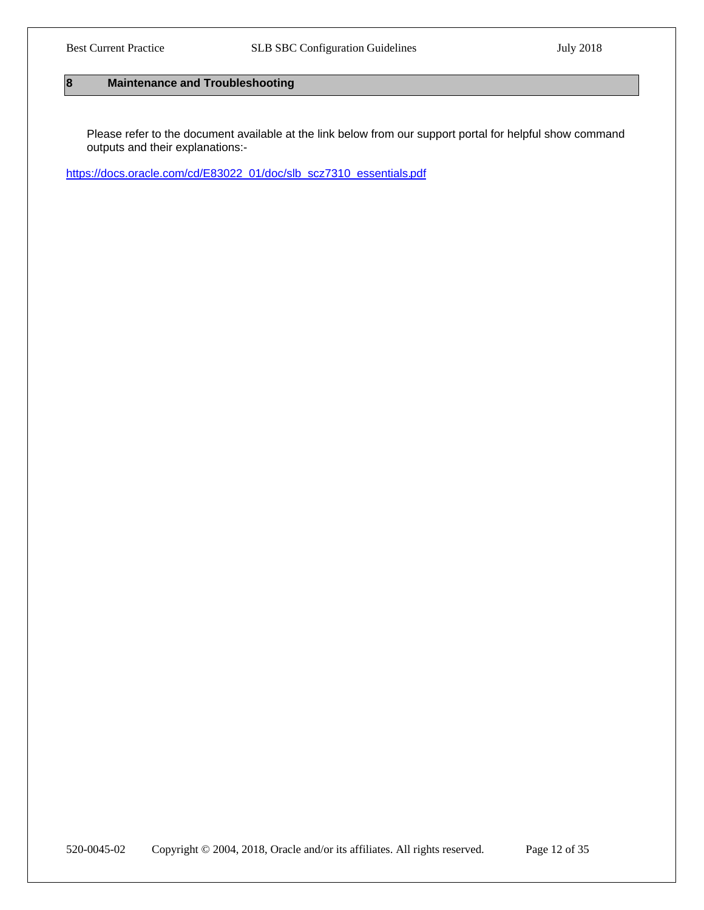## **8 Maintenance and Troubleshooting**

<span id="page-11-0"></span>Please refer to the document available at the link below from our support portal for helpful show command outputs and their explanations:-

[https://docs.oracle.com/cd/E83022\\_01/doc/slb\\_scz7310\\_essentials.pdf](https://docs.oracle.com/cd/E83022_01/doc/slb_scz7310_essentials.pdf)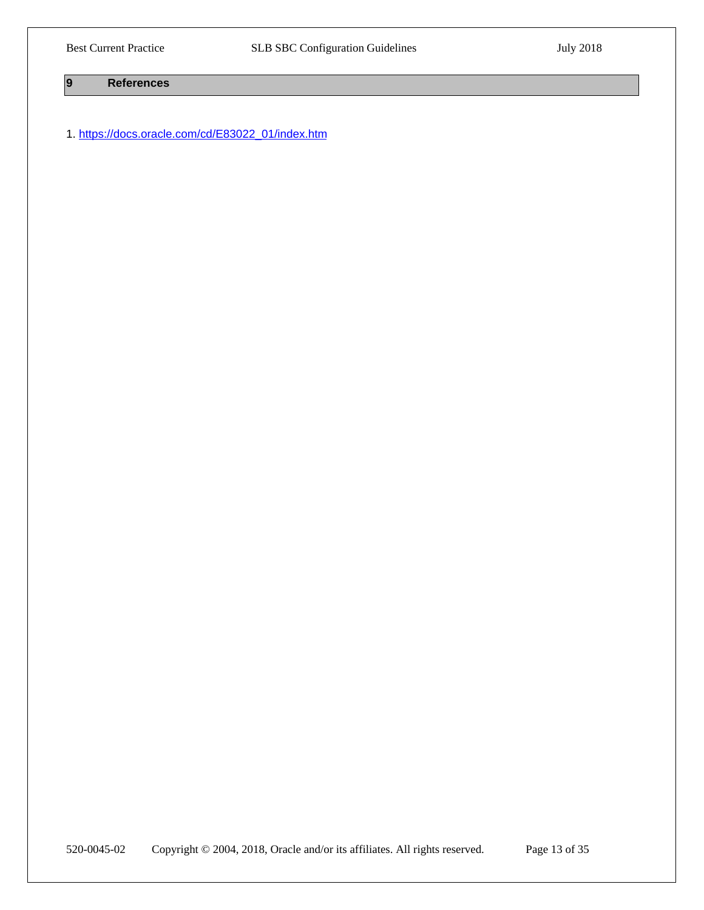# <span id="page-12-0"></span>**9 References**

1. [https://docs.oracle.com/cd/E83022\\_01/index.htm](https://docs.oracle.com/cd/E83022_01/index.htm)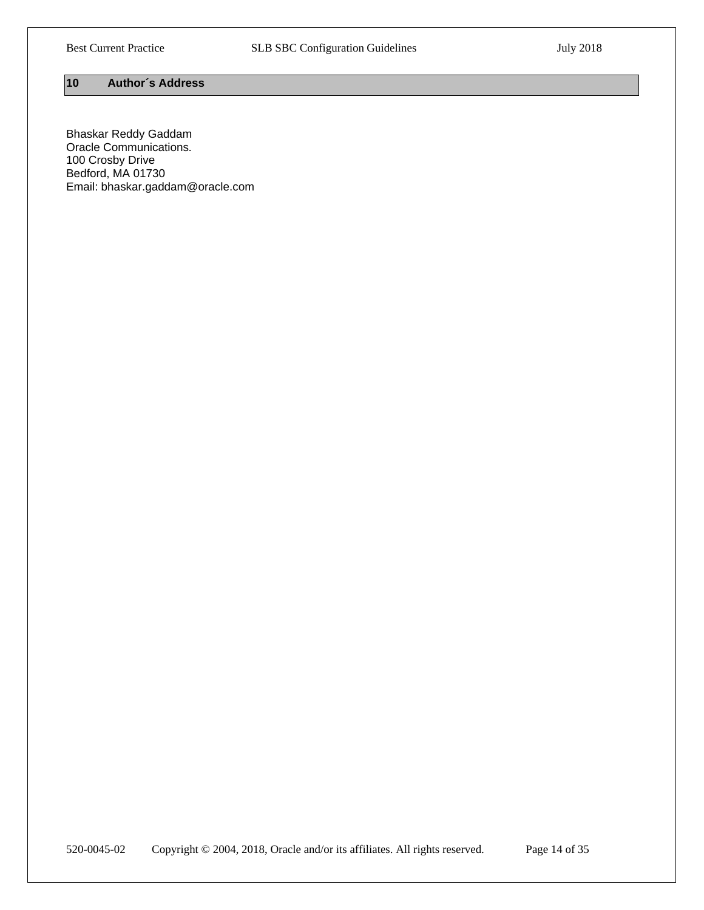# <span id="page-13-0"></span>**10 Author´s Address**

Bhaskar Reddy Gaddam Oracle Communications. 100 Crosby Drive Bedford, MA 01730 Email: bhaskar.gaddam@oracle.com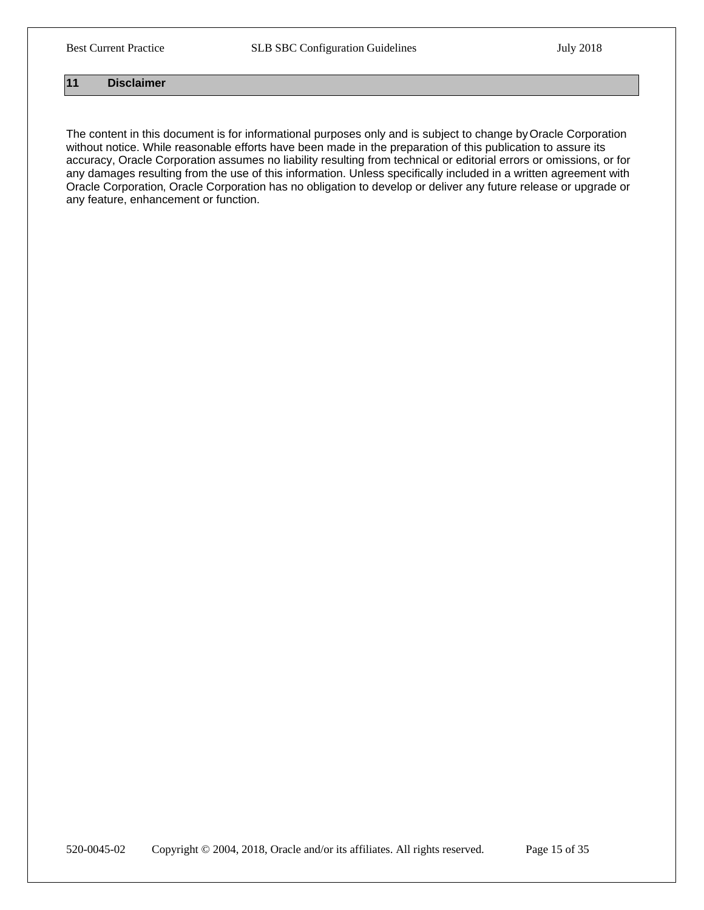## <span id="page-14-0"></span>**11 Disclaimer**

The content in this document is for informational purposes only and is subject to change by Oracle Corporation without notice. While reasonable efforts have been made in the preparation of this publication to assure its accuracy, Oracle Corporation assumes no liability resulting from technical or editorial errors or omissions, or for any damages resulting from the use of this information. Unless specifically included in a written agreement with Oracle Corporation, Oracle Corporation has no obligation to develop or deliver any future release or upgrade or any feature, enhancement or function.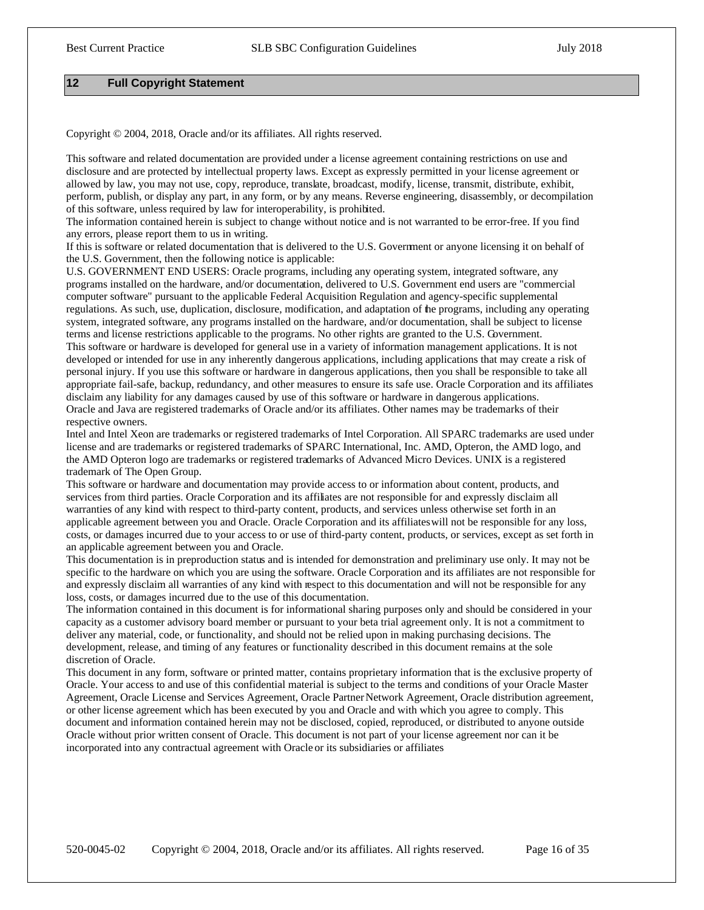### <span id="page-15-0"></span>**12 Full Copyright Statement**

Copyright © 2004, 2018, Oracle and/or its affiliates. All rights reserved.

This software and related documentation are provided under a license agreement containing restrictions on use and disclosure and are protected by intellectual property laws. Except as expressly permitted in your license agreement or allowed by law, you may not use, copy, reproduce, translate, broadcast, modify, license, transmit, distribute, exhibit, perform, publish, or display any part, in any form, or by any means. Reverse engineering, disassembly, or decompilation of this software, unless required by law for interoperability, is prohibited.

The information contained herein is subject to change without notice and is not warranted to be error-free. If you find any errors, please report them to us in writing.

If this is software or related documentation that is delivered to the U.S. Government or anyone licensing it on behalf of the U.S. Government, then the following notice is applicable:

U.S. GOVERNMENT END USERS: Oracle programs, including any operating system, integrated software, any programs installed on the hardware, and/or documentation, delivered to U.S. Government end users are "commercial computer software" pursuant to the applicable Federal Acquisition Regulation and agency-specific supplemental regulations. As such, use, duplication, disclosure, modification, and adaptation of the programs, including any operating system, integrated software, any programs installed on the hardware, and/or documentation, shall be subject to license terms and license restrictions applicable to the programs. No other rights are granted to the U.S. Government.

This software or hardware is developed for general use in a variety of information management applications. It is not developed or intended for use in any inherently dangerous applications, including applications that may create a risk of personal injury. If you use this software or hardware in dangerous applications, then you shall be responsible to take all appropriate fail-safe, backup, redundancy, and other measures to ensure its safe use. Oracle Corporation and its affiliates disclaim any liability for any damages caused by use of this software or hardware in dangerous applications. Oracle and Java are registered trademarks of Oracle and/or its affiliates. Other names may be trademarks of their respective owners.

Intel and Intel Xeon are trademarks or registered trademarks of Intel Corporation. All SPARC trademarks are used under license and are trademarks or registered trademarks of SPARC International, Inc. AMD, Opteron, the AMD logo, and the AMD Opteron logo are trademarks or registered trademarks of Advanced Micro Devices. UNIX is a registered trademark of The Open Group.

This software or hardware and documentation may provide access to or information about content, products, and services from third parties. Oracle Corporation and its affiliates are not responsible for and expressly disclaim all warranties of any kind with respect to third-party content, products, and services unless otherwise set forth in an applicable agreement between you and Oracle. Oracle Corporation and its affiliates will not be responsible for any loss, costs, or damages incurred due to your access to or use of third-party content, products, or services, except as set forth in an applicable agreement between you and Oracle.

This documentation is in preproduction status and is intended for demonstration and preliminary use only. It may not be specific to the hardware on which you are using the software. Oracle Corporation and its affiliates are not responsible for and expressly disclaim all warranties of any kind with respect to this documentation and will not be responsible for any loss, costs, or damages incurred due to the use of this documentation.

The information contained in this document is for informational sharing purposes only and should be considered in your capacity as a customer advisory board member or pursuant to your beta trial agreement only. It is not a commitment to deliver any material, code, or functionality, and should not be relied upon in making purchasing decisions. The development, release, and timing of any features or functionality described in this document remains at the sole discretion of Oracle.

This document in any form, software or printed matter, contains proprietary information that is the exclusive property of Oracle. Your access to and use of this confidential material is subject to the terms and conditions of your Oracle Master Agreement, Oracle License and Services Agreement, Oracle Partner Network Agreement, Oracle distribution agreement, or other license agreement which has been executed by you and Oracle and with which you agree to comply. This document and information contained herein may not be disclosed, copied, reproduced, or distributed to anyone outside Oracle without prior written consent of Oracle. This document is not part of your license agreement nor can it be incorporated into any contractual agreement with Oracle or its subsidiaries or affiliates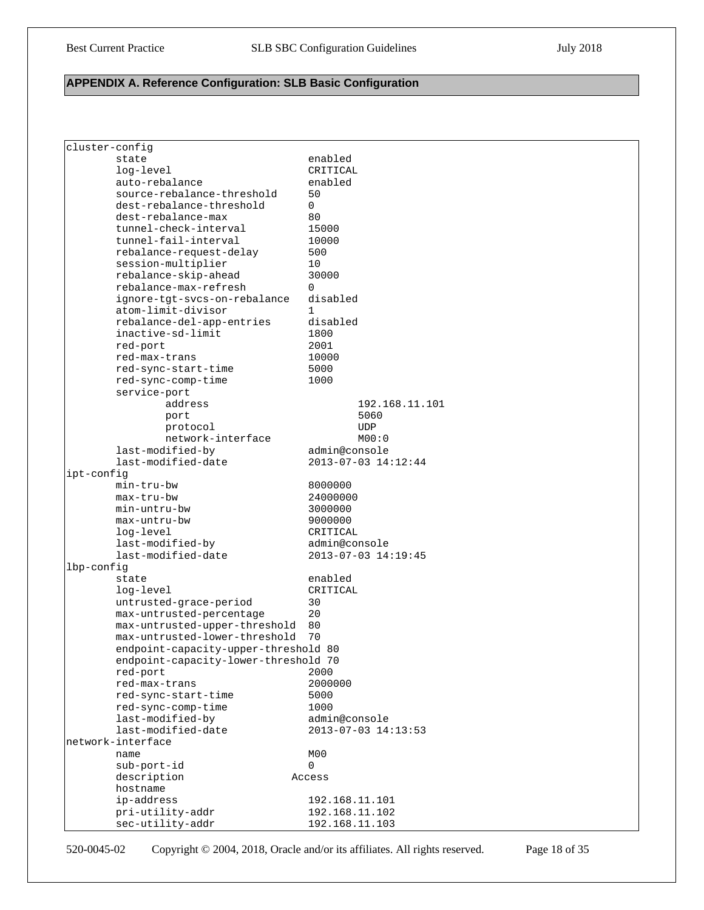# <span id="page-17-0"></span>**APPENDIX A. Reference Configuration: SLB Basic Configuration**

| cluster-config |                                      |                     |
|----------------|--------------------------------------|---------------------|
|                | state                                | enabled             |
|                | log-level                            | CRITICAL            |
|                | auto-rebalance                       | enabled             |
|                | source-rebalance-threshold           | 50                  |
|                | dest-rebalance-threshold             | 0                   |
|                | dest-rebalance-max                   | 80                  |
|                | tunnel-check-interval                | 15000               |
|                | tunnel-fail-interval                 | 10000               |
|                | rebalance-request-delay              | 500                 |
|                | session-multiplier                   | 10                  |
|                |                                      | 30000               |
|                | rebalance-skip-ahead                 |                     |
|                | rebalance-max-refresh                | 0                   |
|                | ignore-tgt-svcs-on-rebalance         | disabled            |
|                | atom-limit-divisor                   | 1                   |
|                | rebalance-del-app-entries            | disabled            |
|                | inactive-sd-limit                    | 1800                |
|                | red-port                             | 2001                |
|                | red-max-trans                        | 10000               |
|                | red-sync-start-time                  | 5000                |
|                | red-sync-comp-time                   | 1000                |
|                | service-port                         |                     |
|                | address                              | 192.168.11.101      |
|                | port                                 | 5060                |
|                | protocol                             | <b>UDP</b>          |
|                | network-interface                    | MOO:O               |
|                | last-modified-by                     | admin@console       |
|                | last-modified-date                   | 2013-07-03 14:12:44 |
| ipt-config     |                                      |                     |
|                | min-tru-bw                           | 8000000             |
|                | max-tru-bw                           | 24000000            |
|                | min-untru-bw                         | 3000000             |
|                | max-untru-bw                         | 9000000             |
|                | log-level                            | CRITICAL            |
|                | last-modified-by                     | admin@console       |
|                | last-modified-date                   | 2013-07-03 14:19:45 |
| lbp-config     |                                      |                     |
|                | state                                | enabled             |
|                | log-level                            | CRITICAL            |
|                | untrusted-grace-period               | 30                  |
|                | max-untrusted-percentage             | 20                  |
|                |                                      |                     |
|                | max-untrusted-upper-threshold        | 80                  |
|                | max-untrusted-lower-threshold        | 70                  |
|                | endpoint-capacity-upper-threshold 80 |                     |
|                | endpoint-capacity-lower-threshold 70 |                     |
|                | red-port                             | 2000                |
|                | red-max-trans                        | 2000000             |
|                | red-sync-start-time                  | 5000                |
|                | red-sync-comp-time                   | 1000                |
|                | last-modified-by                     | admin@console       |
|                | last-modified-date                   | 2013-07-03 14:13:53 |
|                | network-interface                    |                     |
|                | name                                 | MOO                 |
|                | sub-port-id                          | $\Omega$            |
|                | description                          | Access              |
|                | hostname                             |                     |
|                | ip-address                           | 192.168.11.101      |
|                | pri-utility-addr                     | 192.168.11.102      |
|                | sec-utility-addr                     | 192.168.11.103      |
|                |                                      |                     |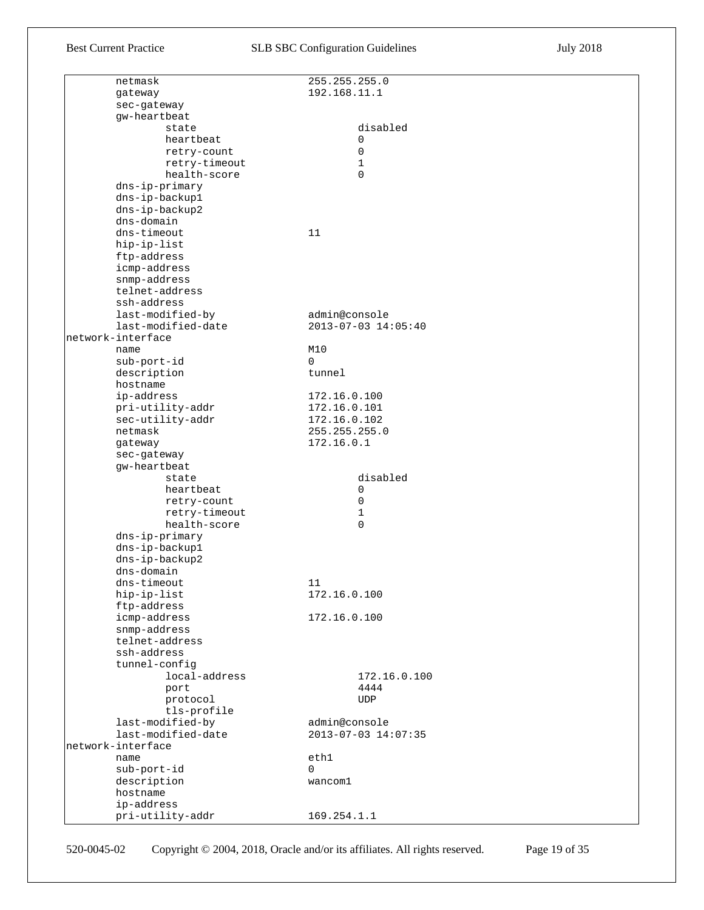| netmask            | 255.255.255.0       |
|--------------------|---------------------|
| gateway            | 192.168.11.1        |
|                    |                     |
| sec-gateway        |                     |
| qw-heartbeat       |                     |
| state              | disabled            |
| heartbeat          | 0                   |
| retry-count        | 0                   |
| retry-timeout      | 1                   |
| health-score       | $\Omega$            |
|                    |                     |
| dns-ip-primary     |                     |
| dns-ip-backup1     |                     |
| dns-ip-backup2     |                     |
| dns-domain         |                     |
| dns-timeout        | 11                  |
| hip-ip-list        |                     |
| ftp-address        |                     |
| icmp-address       |                     |
| snmp-address       |                     |
|                    |                     |
| telnet-address     |                     |
| ssh-address        |                     |
| last-modified-by   | admin@console       |
| last-modified-date | 2013-07-03 14:05:40 |
| network-interface  |                     |
| name               | M10                 |
| sub-port-id        | $\mathbf 0$         |
| description        | tunnel              |
| hostname           |                     |
|                    |                     |
| ip-address         | 172.16.0.100        |
| pri-utility-addr   | 172.16.0.101        |
| sec-utility-addr   | 172.16.0.102        |
| netmask            | 255.255.255.0       |
| gateway            | 172.16.0.1          |
| sec-gateway        |                     |
| gw-heartbeat       |                     |
| state              | disabled            |
|                    |                     |
| heartbeat          | 0                   |
| retry-count        | 0                   |
| retry-timeout      | $\mathbf 1$         |
| health-score       | 0                   |
| dns-ip-primary     |                     |
| dns-ip-backup1     |                     |
| dns-ip-backup2     |                     |
| dns-domain         |                     |
| dns-timeout        |                     |
|                    | 11                  |
| hip-ip-list        | 172.16.0.100        |
| ftp-address        |                     |
| icmp-address       | 172.16.0.100        |
| snmp-address       |                     |
| telnet-address     |                     |
| ssh-address        |                     |
| tunnel-confiq      |                     |
| local-address      | 172.16.0.100        |
|                    | 4444                |
| port               |                     |
| protocol           | <b>UDP</b>          |
| tls-profile        |                     |
| last-modified-by   | admin@console       |
| last-modified-date | 2013-07-03 14:07:35 |
| network-interface  |                     |
| name               | eth1                |
| sub-port-id        | 0                   |
| description        | wancom1             |
| hostname           |                     |
|                    |                     |
| ip-address         |                     |
| pri-utility-addr   | 169.254.1.1         |

520-0045-02

Copyright © 2004, 2018, Oracle and/or its affiliates. All rights reserved. Page 19 of 35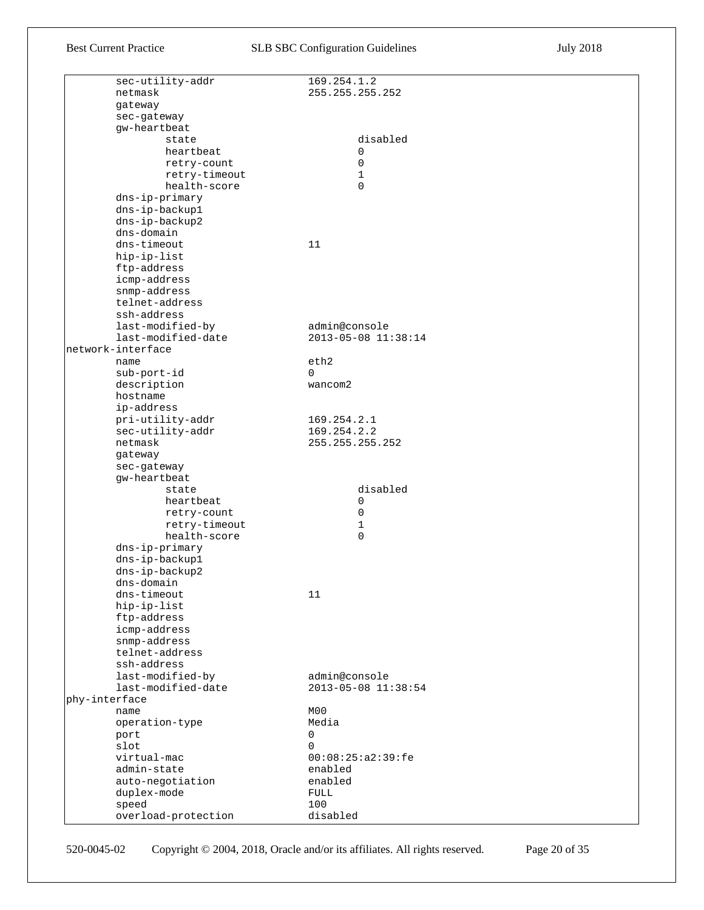| sec-utility-addr<br>169.254.1.2<br>255.255.255.252<br>netmask<br>gateway<br>sec-gateway<br>gw-heartbeat<br>disabled<br>state<br>heartbeat<br>$\mathbf 0$<br>$\mathbf 0$<br>retry-count<br>retry-timeout<br>$\mathbf 1$<br>$\mathbf 0$<br>health-score<br>dns-ip-primary<br>dns-ip-backup1<br>dns-ip-backup2<br>dns-domain<br>dns-timeout<br>11 |
|------------------------------------------------------------------------------------------------------------------------------------------------------------------------------------------------------------------------------------------------------------------------------------------------------------------------------------------------|
|                                                                                                                                                                                                                                                                                                                                                |
|                                                                                                                                                                                                                                                                                                                                                |
|                                                                                                                                                                                                                                                                                                                                                |
|                                                                                                                                                                                                                                                                                                                                                |
|                                                                                                                                                                                                                                                                                                                                                |
|                                                                                                                                                                                                                                                                                                                                                |
|                                                                                                                                                                                                                                                                                                                                                |
|                                                                                                                                                                                                                                                                                                                                                |
|                                                                                                                                                                                                                                                                                                                                                |
|                                                                                                                                                                                                                                                                                                                                                |
|                                                                                                                                                                                                                                                                                                                                                |
|                                                                                                                                                                                                                                                                                                                                                |
|                                                                                                                                                                                                                                                                                                                                                |
|                                                                                                                                                                                                                                                                                                                                                |
|                                                                                                                                                                                                                                                                                                                                                |
|                                                                                                                                                                                                                                                                                                                                                |
| hip-ip-list                                                                                                                                                                                                                                                                                                                                    |
| ftp-address                                                                                                                                                                                                                                                                                                                                    |
| icmp-address                                                                                                                                                                                                                                                                                                                                   |
| snmp-address                                                                                                                                                                                                                                                                                                                                   |
| telnet-address                                                                                                                                                                                                                                                                                                                                 |
| ssh-address                                                                                                                                                                                                                                                                                                                                    |
|                                                                                                                                                                                                                                                                                                                                                |
| last-modified-by<br>admin@console                                                                                                                                                                                                                                                                                                              |
| last-modified-date<br>2013-05-08 11:38:14                                                                                                                                                                                                                                                                                                      |
| network-interface                                                                                                                                                                                                                                                                                                                              |
| eth2<br>name                                                                                                                                                                                                                                                                                                                                   |
| $\Omega$<br>sub-port-id                                                                                                                                                                                                                                                                                                                        |
| description<br>wancom2                                                                                                                                                                                                                                                                                                                         |
| hostname                                                                                                                                                                                                                                                                                                                                       |
| ip-address                                                                                                                                                                                                                                                                                                                                     |
| 169.254.2.1<br>pri-utility-addr                                                                                                                                                                                                                                                                                                                |
| sec-utility-addr<br>169.254.2.2                                                                                                                                                                                                                                                                                                                |
|                                                                                                                                                                                                                                                                                                                                                |
| netmask<br>255.255.255.252                                                                                                                                                                                                                                                                                                                     |
| gateway                                                                                                                                                                                                                                                                                                                                        |
| sec-gateway                                                                                                                                                                                                                                                                                                                                    |
| gw-heartbeat                                                                                                                                                                                                                                                                                                                                   |
| disabled<br>state                                                                                                                                                                                                                                                                                                                              |
| heartbeat<br>0                                                                                                                                                                                                                                                                                                                                 |
| 0<br>retry-count                                                                                                                                                                                                                                                                                                                               |
| retry-timeout<br>$\mathbf 1$                                                                                                                                                                                                                                                                                                                   |
| $\mathbf 0$<br>health-score                                                                                                                                                                                                                                                                                                                    |
| dns-ip-primary                                                                                                                                                                                                                                                                                                                                 |
| dns-ip-backup1                                                                                                                                                                                                                                                                                                                                 |
| dns-ip-backup2                                                                                                                                                                                                                                                                                                                                 |
| dns-domain                                                                                                                                                                                                                                                                                                                                     |
|                                                                                                                                                                                                                                                                                                                                                |
| dns-timeout<br>11                                                                                                                                                                                                                                                                                                                              |
| hip-ip-list                                                                                                                                                                                                                                                                                                                                    |
| ftp-address                                                                                                                                                                                                                                                                                                                                    |
| icmp-address                                                                                                                                                                                                                                                                                                                                   |
| snmp-address                                                                                                                                                                                                                                                                                                                                   |
| telnet-address                                                                                                                                                                                                                                                                                                                                 |
| ssh-address                                                                                                                                                                                                                                                                                                                                    |
| last-modified-by<br>admin@console                                                                                                                                                                                                                                                                                                              |
| 2013-05-08 11:38:54<br>last-modified-date                                                                                                                                                                                                                                                                                                      |
| phy-interface                                                                                                                                                                                                                                                                                                                                  |
| MOO<br>name                                                                                                                                                                                                                                                                                                                                    |
| Media<br>operation-type                                                                                                                                                                                                                                                                                                                        |
| $\mathbf 0$                                                                                                                                                                                                                                                                                                                                    |
| port                                                                                                                                                                                                                                                                                                                                           |
| $\Omega$<br>slot                                                                                                                                                                                                                                                                                                                               |
| virtual-mac<br>$00:08:25:a2:39:f$ e                                                                                                                                                                                                                                                                                                            |
| admin-state<br>enabled                                                                                                                                                                                                                                                                                                                         |
| enabled<br>auto-negotiation                                                                                                                                                                                                                                                                                                                    |
| duplex-mode<br><b>FULL</b>                                                                                                                                                                                                                                                                                                                     |
| 100<br>speed                                                                                                                                                                                                                                                                                                                                   |
| overload-protection<br>disabled                                                                                                                                                                                                                                                                                                                |

520-0045-02

Copyright © 2004, 2018, Oracle and/or its affiliates. All rights reserved. Page 20 of 35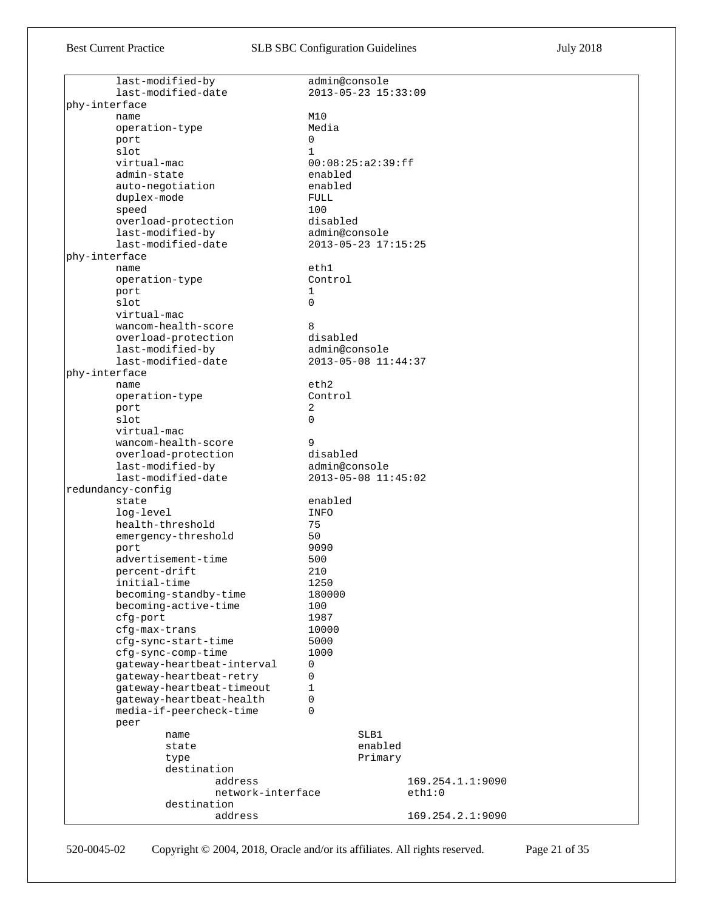| last-modified-by           | admin@console       |                  |  |
|----------------------------|---------------------|------------------|--|
| last-modified-date         | 2013-05-23 15:33:09 |                  |  |
| phy-interface              |                     |                  |  |
| name                       | M10                 |                  |  |
| operation-type             | Media               |                  |  |
| port                       | 0                   |                  |  |
| slot                       | 1                   |                  |  |
| virtual-mac                | 00:08:25:a2:39:ff   |                  |  |
| admin-state                | enabled             |                  |  |
| auto-negotiation           | enabled             |                  |  |
| duplex-mode                | FULL                |                  |  |
| speed                      | 100                 |                  |  |
| overload-protection        | disabled            |                  |  |
| last-modified-by           | admin@console       |                  |  |
| last-modified-date         | 2013-05-23 17:15:25 |                  |  |
| phy-interface              |                     |                  |  |
| name                       | eth1                |                  |  |
| operation-type             | Control             |                  |  |
| port                       | 1                   |                  |  |
| slot                       | $\Omega$            |                  |  |
| virtual-mac                |                     |                  |  |
| wancom-health-score        | 8                   |                  |  |
| overload-protection        | disabled            |                  |  |
| last-modified-by           | admin@console       |                  |  |
| last-modified-date         | 2013-05-08 11:44:37 |                  |  |
| phy-interface              |                     |                  |  |
| name                       | eth2                |                  |  |
| operation-type             | Control             |                  |  |
| port                       | 2                   |                  |  |
| slot                       | $\Omega$            |                  |  |
| virtual-mac                |                     |                  |  |
| wancom-health-score        | 9                   |                  |  |
| overload-protection        | disabled            |                  |  |
| last-modified-by           | admin@console       |                  |  |
| last-modified-date         | 2013-05-08 11:45:02 |                  |  |
| redundancy-confiq          |                     |                  |  |
| state                      | enabled             |                  |  |
| log-level                  | <b>INFO</b>         |                  |  |
| health-threshold           | 75                  |                  |  |
| emergency-threshold        | 50                  |                  |  |
| port                       | 9090                |                  |  |
| advertisement-time         | 500                 |                  |  |
| percent-drift              | 210                 |                  |  |
| initial-time               | 1250                |                  |  |
| becoming-standby-time      | 180000              |                  |  |
| becoming-active-time       | 100                 |                  |  |
| cfg-port                   | 1987                |                  |  |
| cfg-max-trans              | 10000               |                  |  |
| cfg-sync-start-time        | 5000                |                  |  |
| cfg-sync-comp-time         | 1000                |                  |  |
| qateway-heartbeat-interval | 0                   |                  |  |
| gateway-heartbeat-retry    | 0                   |                  |  |
| gateway-heartbeat-timeout  | 1                   |                  |  |
| qateway-heartbeat-health   | $\Omega$            |                  |  |
| media-if-peercheck-time    | 0                   |                  |  |
| peer                       |                     |                  |  |
| name                       | SLB1                |                  |  |
| state                      |                     | enabled          |  |
| type                       |                     | Primary          |  |
| destination                |                     |                  |  |
| address                    |                     | 169.254.1.1:9090 |  |
| network-interface          |                     | eth1:0           |  |
| destination                |                     |                  |  |
| address                    |                     | 169.254.2.1:9090 |  |
|                            |                     |                  |  |

520-0045-02 Copyright © 2004, 2018, Oracle and/or its affiliates. All rights reserved. Page 21 of 35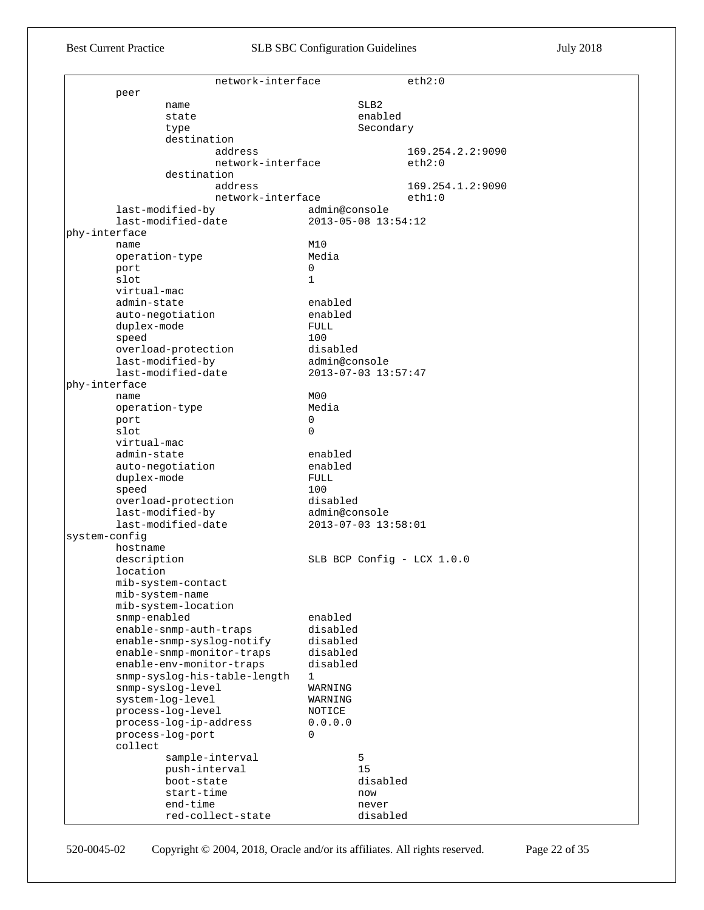|               | network-interface                      |                     | eth2:0                     |
|---------------|----------------------------------------|---------------------|----------------------------|
|               | peer                                   |                     |                            |
|               | name                                   | SLB <sub>2</sub>    |                            |
|               | state                                  |                     | enabled                    |
|               | type<br>destination                    |                     | Secondary                  |
|               |                                        |                     |                            |
|               | address                                |                     | 169.254.2.2:9090           |
|               | network-interface                      |                     | eth2:0                     |
|               | destination                            |                     |                            |
|               | address                                |                     | 169.254.1.2:9090           |
|               | network-interface                      |                     | eth1:0                     |
|               | last-modified-by                       | admin@console       |                            |
|               | last-modified-date                     | 2013-05-08 13:54:12 |                            |
| phy-interface |                                        |                     |                            |
|               | name                                   | M10                 |                            |
|               | operation-type                         | Media               |                            |
|               | port                                   | $\mathbf 0$         |                            |
|               | slot                                   | 1                   |                            |
|               | virtual-mac                            |                     |                            |
|               | admin-state                            | enabled             |                            |
|               | auto-negotiation                       | enabled             |                            |
|               | duplex-mode                            | <b>FULL</b>         |                            |
|               | speed                                  | 100                 |                            |
|               | overload-protection                    | disabled            |                            |
|               | last-modified-by                       | admin@console       |                            |
|               | last-modified-date                     | 2013-07-03 13:57:47 |                            |
| phy-interface |                                        |                     |                            |
|               | name                                   | MOO                 |                            |
|               | operation-type                         | Media               |                            |
|               | port                                   | $\mathbf 0$         |                            |
|               | slot                                   | $\Omega$            |                            |
|               | virtual-mac                            |                     |                            |
|               | admin-state                            | enabled             |                            |
|               | auto-negotiation                       | enabled             |                            |
|               | duplex-mode                            | <b>FULL</b>         |                            |
|               | speed                                  | 100                 |                            |
|               | overload-protection                    | disabled            |                            |
|               | last-modified-by<br>last-modified-date | admin@console       |                            |
|               |                                        | 2013-07-03 13:58:01 |                            |
| system-config | hostname                               |                     |                            |
|               | description                            |                     |                            |
|               | location                               |                     | SLB BCP Config - LCX 1.0.0 |
|               |                                        |                     |                            |
|               | mib-system-contact                     |                     |                            |
|               | mib-system-name<br>mib-system-location |                     |                            |
|               | snmp-enabled                           | enabled             |                            |
|               | enable-snmp-auth-traps                 | disabled            |                            |
|               | enable-snmp-syslog-notify              | disabled            |                            |
|               | enable-snmp-monitor-traps              | disabled            |                            |
|               | enable-env-monitor-traps               | disabled            |                            |
|               | snmp-syslog-his-table-length           | 1                   |                            |
|               | snmp-syslog-level                      | WARNING             |                            |
|               | system-log-level                       | WARNING             |                            |
|               | process-log-level                      | NOTICE              |                            |
|               | process-log-ip-address                 | 0.0.0.0             |                            |
|               | process-log-port                       | 0                   |                            |
|               | collect                                |                     |                            |
|               | sample-interval                        | 5                   |                            |
|               | push-interval                          | 15                  |                            |
|               | boot-state                             |                     | disabled                   |
|               | start-time                             | now                 |                            |
|               | end-time                               | never               |                            |
|               | red-collect-state                      |                     | disabled                   |

520-0045-02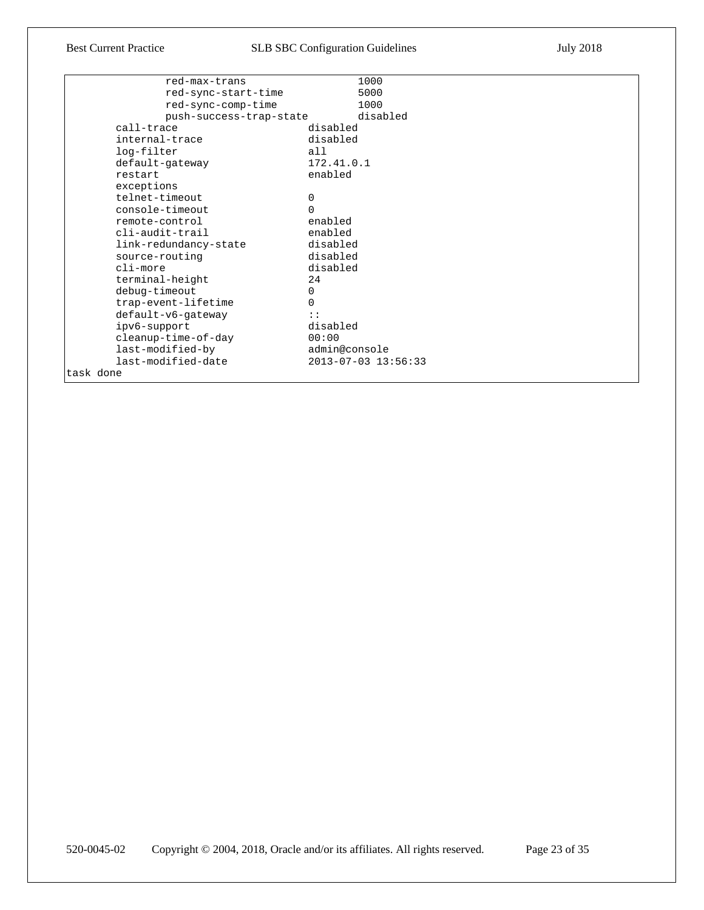| red-max-trans           | 1000                        |
|-------------------------|-----------------------------|
| red-sync-start-time     | 5000                        |
| red-sync-comp-time      | 1000                        |
| push-success-trap-state | disabled                    |
| call-trace              | disabled                    |
| internal-trace          | disabled                    |
| log-filter              | all                         |
| default-gateway         | 172.41.0.1                  |
| restart                 | enabled                     |
| exceptions              |                             |
| telnet-timeout          | $\Omega$                    |
| console-timeout         | $\Omega$                    |
| remote-control          | enabled                     |
| cli-audit-trail         | enabled                     |
| link-redundancy-state   | disabled                    |
| source-routing          | disabled                    |
| $cli$ -more             | disabled                    |
| terminal-height         | 24                          |
| debug-timeout           | $\Omega$                    |
| trap-event-lifetime     | $\Omega$                    |
| default-v6-gateway      | $\mathbf{1}$ :              |
| ipv6-support            | disabled                    |
| cleanup-time-of-day     | 00:00                       |
| last-modified-by        | admin@console               |
| last-modified-date      | $2013 - 07 - 03$ $13:56:33$ |
| task done               |                             |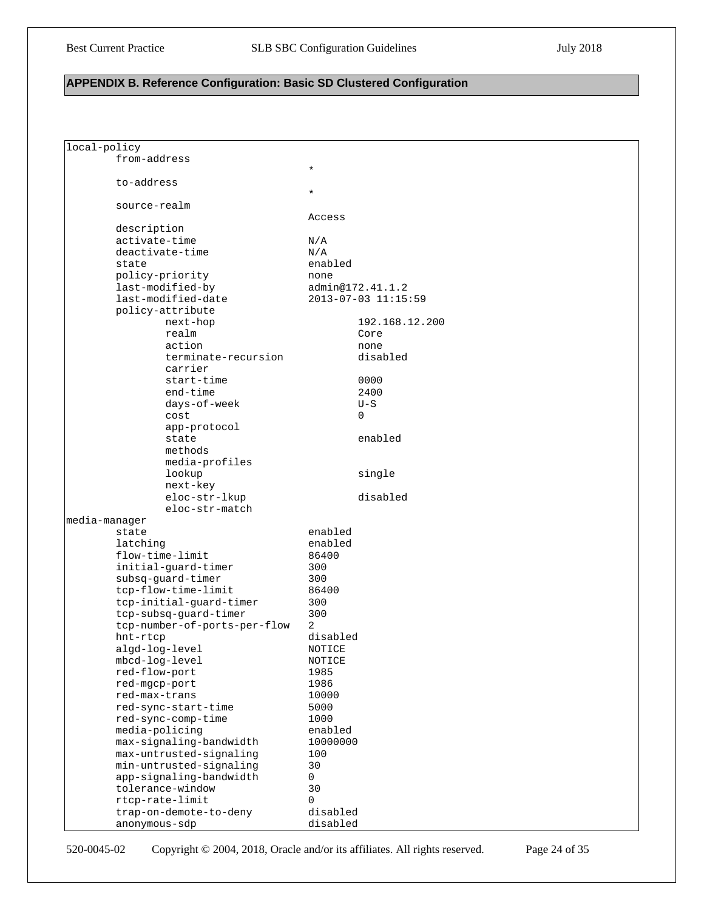# <span id="page-23-0"></span>**APPENDIX B. Reference Configuration: Basic SD Clustered Configuration**

| local-policy  |                              |                     |
|---------------|------------------------------|---------------------|
|               | from-address                 |                     |
|               |                              | $\star$             |
|               | to-address                   |                     |
|               |                              | $\star$             |
|               | source-realm                 |                     |
|               |                              | Access              |
|               | description                  |                     |
|               | activate-time                | N/A                 |
|               | deactivate-time              | N/A                 |
|               | state                        | enabled             |
|               | policy-priority              | none                |
|               | last-modified-by             | admin@172.41.1.2    |
|               | last-modified-date           | 2013-07-03 11:15:59 |
|               | policy-attribute             |                     |
|               | next-hop                     | 192.168.12.200      |
|               | realm                        | Core                |
|               | action                       | none                |
|               | terminate-recursion          | disabled            |
|               | carrier                      |                     |
|               | start-time                   | 0000                |
|               | end-time                     | 2400                |
|               | days-of-week                 | $U-S$               |
|               | cost                         | 0                   |
|               | app-protocol                 |                     |
|               | state                        | enabled             |
|               | methods                      |                     |
|               | media-profiles               |                     |
|               | lookup                       | single              |
|               | next-key                     |                     |
|               | eloc-str-lkup                | disabled            |
|               | eloc-str-match               |                     |
| media-manager |                              |                     |
|               | state                        | enabled             |
|               | latching                     | enabled             |
|               | flow-time-limit              | 86400               |
|               | initial-guard-timer          | 300                 |
|               | subsq-guard-timer            | 300                 |
|               | tcp-flow-time-limit          | 86400               |
|               | tcp-initial-guard-timer      | 300                 |
|               | tcp-subsq-guard-timer        | 300                 |
|               | tcp-number-of-ports-per-flow | $\overline{a}$      |
|               | hnt-rtcp                     | disabled            |
|               | algd-log-level               | NOTICE              |
|               | mbcd-log-level               | NOTICE              |
|               | red-flow-port                | 1985                |
|               | red-mgcp-port                | 1986                |
|               | red-max-trans                | 10000               |
|               | red-sync-start-time          | 5000                |
|               | red-sync-comp-time           | 1000                |
|               | media-policing               | enabled             |
|               | max-signaling-bandwidth      | 10000000            |
|               | max-untrusted-signaling      | 100                 |
|               | min-untrusted-signaling      | 30                  |
|               | app-signaling-bandwidth      | 0                   |
|               | tolerance-window             | 30                  |
|               | rtcp-rate-limit              | 0                   |
|               | trap-on-demote-to-deny       | disabled            |
|               | anonymous-sdp                | disabled            |
|               |                              |                     |

520-0045-02 Copyright © 2004, 2018, Oracle and/or its affiliates. All rights reserved. Page 24 of 35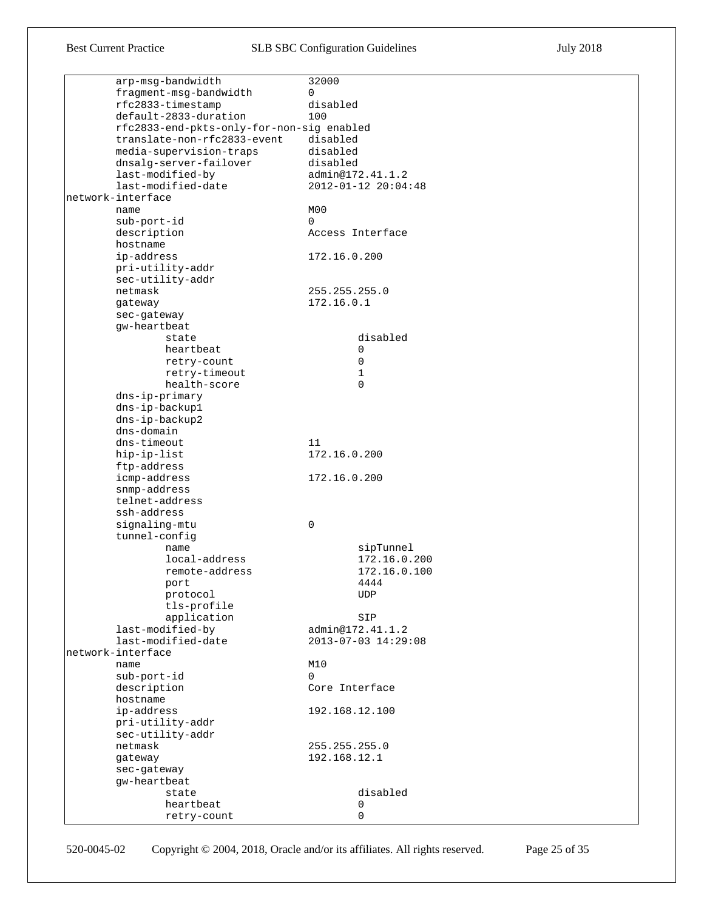| arp-msg-bandwidth                         | 32000                       |
|-------------------------------------------|-----------------------------|
| fragment-msg-bandwidth                    | 0                           |
| rfc2833-timestamp                         | disabled                    |
| default-2833-duration                     | 100                         |
|                                           |                             |
| rfc2833-end-pkts-only-for-non-sig enabled |                             |
| translate-non-rfc2833-event               | disabled                    |
| media-supervision-traps                   | disabled                    |
| dnsalg-server-failover                    | disabled                    |
| last-modified-by                          | admin@172.41.1.2            |
| last-modified-date                        | 2012-01-12 20:04:48         |
| network-interface                         |                             |
| name                                      | MO 0                        |
| sub-port-id                               | $\Omega$                    |
| description                               | Access Interface            |
| hostname                                  |                             |
|                                           |                             |
| ip-address                                | 172.16.0.200                |
| pri-utility-addr                          |                             |
| sec-utility-addr                          |                             |
| netmask                                   | 255.255.255.0               |
| gateway                                   | 172.16.0.1                  |
| sec-gateway                               |                             |
| qw-heartbeat                              |                             |
| state                                     | disabled                    |
| heartbeat                                 | 0                           |
|                                           |                             |
| retry-count                               | 0                           |
| retry-timeout                             | 1                           |
| health-score                              | $\Omega$                    |
| dns-ip-primary                            |                             |
| dns-ip-backup1                            |                             |
| dns-ip-backup2                            |                             |
| dns-domain                                |                             |
| dns-timeout                               | 11                          |
|                                           | 172.16.0.200                |
| hip-ip-list                               |                             |
| ftp-address                               |                             |
| icmp-address                              | 172.16.0.200                |
| snmp-address                              |                             |
| telnet-address                            |                             |
| ssh-address                               |                             |
| signaling-mtu                             | $\mathbf 0$                 |
| tunnel-config                             |                             |
| name                                      | sipTunnel                   |
| local-address                             | 172.16.0.200                |
|                                           |                             |
| remote-address                            | 172.16.0.100                |
| port                                      | 4444                        |
| protocol                                  | UDP                         |
| tls-profile                               |                             |
| application                               | SIP                         |
| last-modified-by                          | admin@172.41.1.2            |
| last-modified-date                        | $2013 - 07 - 03$ $14:29:08$ |
| network-interface                         |                             |
|                                           |                             |
| name                                      | M10                         |
| sub-port-id                               | $\Omega$                    |
| description                               | Core Interface              |
| hostname                                  |                             |
| ip-address                                | 192.168.12.100              |
| pri-utility-addr                          |                             |
| sec-utility-addr                          |                             |
| netmask                                   | 255.255.255.0               |
| gateway                                   | 192.168.12.1                |
|                                           |                             |
| sec-gateway                               |                             |
|                                           |                             |
| gw-heartbeat                              |                             |
| state                                     | disabled                    |
| heartbeat                                 | 0                           |

520-0045-02

Copyright © 2004, 2018, Oracle and/or its affiliates. All rights reserved. Page 25 of 35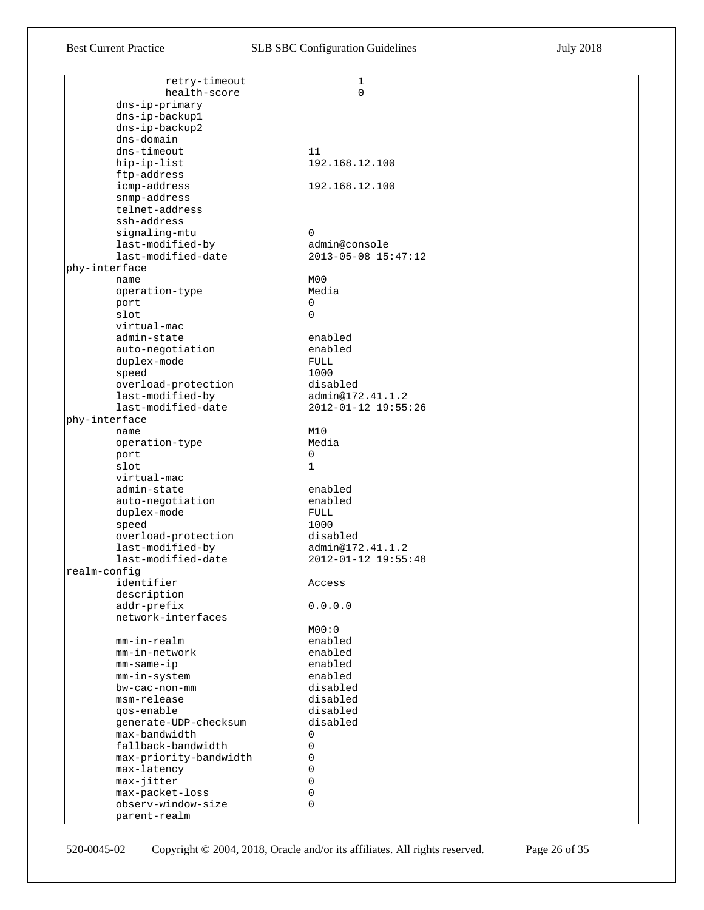| retry-timeout          | 1                   |
|------------------------|---------------------|
| health-score           | $\overline{0}$      |
| dns-ip-primary         |                     |
| dns-ip-backup1         |                     |
|                        |                     |
| dns-ip-backup2         |                     |
| dns-domain             |                     |
| dns-timeout            | 11                  |
| hip-ip-list            | 192.168.12.100      |
| ftp-address            |                     |
| icmp-address           | 192.168.12.100      |
| snmp-address           |                     |
| telnet-address         |                     |
| ssh-address            |                     |
| signaling-mtu          | 0                   |
|                        |                     |
| last-modified-by       | admin@console       |
| last-modified-date     | 2013-05-08 15:47:12 |
| phy-interface          |                     |
| name                   | MOO                 |
| operation-type         | Media               |
| port                   | 0                   |
| slot                   | 0                   |
| virtual-mac            |                     |
| admin-state            | enabled             |
| auto-negotiation       | enabled             |
|                        |                     |
| duplex-mode            | FULL                |
| speed                  | 1000                |
| overload-protection    | disabled            |
| last-modified-by       | admin@172.41.1.2    |
| last-modified-date     | 2012-01-12 19:55:26 |
| phy-interface          |                     |
| name                   | M10                 |
| operation-type         | Media               |
| port                   | 0                   |
| slot                   | $\mathbf{1}$        |
| virtual-mac            |                     |
|                        |                     |
| admin-state            | enabled             |
| auto-negotiation       | enabled             |
| duplex-mode            | FULL                |
| speed                  | 1000                |
| overload-protection    | disabled            |
| last-modified-by       | admin@172.41.1.2    |
| last-modified-date     | 2012-01-12 19:55:48 |
| realm-config           |                     |
| identifier             | Access              |
| description            |                     |
|                        |                     |
| addr-prefix            | 0.0.0.0             |
| network-interfaces     |                     |
|                        | MOO:O               |
| mm-in-realm            | enabled             |
| mm-in-network          | enabled             |
| mm-same-ip             | enabled             |
| mm-in-system           | enabled             |
| bw-cac-non-mm          | disabled            |
| msm-release            | disabled            |
| qos-enable             | disabled            |
| qenerate-UDP-checksum  | disabled            |
| max-bandwidth          | 0                   |
|                        |                     |
| fallback-bandwidth     | 0                   |
| max-priority-bandwidth | 0                   |
| max-latency            | 0                   |
| max-jitter             | 0                   |
| max-packet-loss        | 0                   |
| observ-window-size     | $\Omega$            |
| parent-realm           |                     |
|                        |                     |

520-0045-02 Copyright © 2004, 2018, Oracle and/or its affiliates. All rights reserved. Page 26 of 35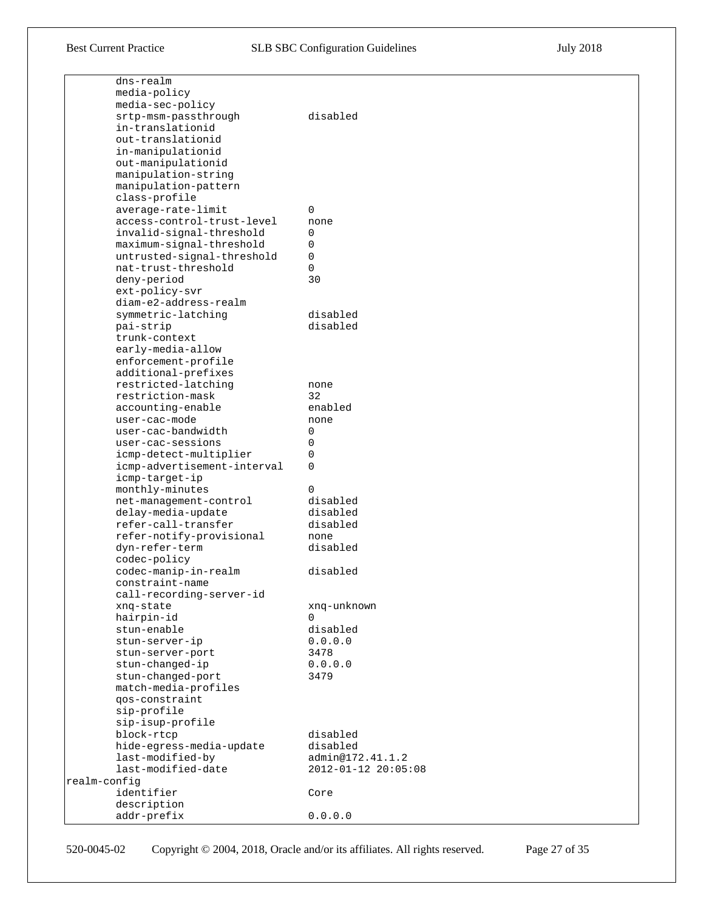|              | dns-realm                   |                     |
|--------------|-----------------------------|---------------------|
|              | media-policy                |                     |
|              | media-sec-policy            |                     |
|              | srtp-msm-passthrough        | disabled            |
|              | in-translationid            |                     |
|              | out-translationid           |                     |
|              | in-manipulationid           |                     |
|              | out-manipulationid          |                     |
|              | manipulation-string         |                     |
|              | manipulation-pattern        |                     |
|              | class-profile               |                     |
|              | average-rate-limit          | 0                   |
|              | access-control-trust-level  | none                |
|              | invalid-signal-threshold    | 0                   |
|              | maximum-signal-threshold    | 0                   |
|              | untrusted-signal-threshold  | 0                   |
|              | nat-trust-threshold         | 0                   |
|              | deny-period                 | 30                  |
|              | ext-policy-svr              |                     |
|              | diam-e2-address-realm       |                     |
|              | symmetric-latching          | disabled            |
|              | pai-strip                   | disabled            |
|              | trunk-context               |                     |
|              | early-media-allow           |                     |
|              | enforcement-profile         |                     |
|              | additional-prefixes         |                     |
|              | restricted-latching         | none                |
|              | restriction-mask            | 32                  |
|              | accounting-enable           | enabled             |
|              | user-cac-mode               | none                |
|              | user-cac-bandwidth          | 0                   |
|              | user-cac-sessions           | 0                   |
|              | icmp-detect-multiplier      | 0                   |
|              | icmp-advertisement-interval | $\Omega$            |
|              | icmp-target-ip              |                     |
|              | monthly-minutes             | $\Omega$            |
|              | net-management-control      | disabled            |
|              | delay-media-update          | disabled            |
|              | refer-call-transfer         | disabled            |
|              | refer-notify-provisional    | none                |
|              | dyn-refer-term              | disabled            |
|              | codec-policy                |                     |
|              | codec-manip-in-realm        | disabled            |
|              | constraint-name             |                     |
|              | call-recording-server-id    |                     |
|              | xnq-state                   | xnq-unknown         |
|              | hairpin-id                  | 0                   |
|              | stun-enable                 | disabled            |
|              | stun-server-ip              | 0.0.0.0             |
|              | stun-server-port            | 3478                |
|              | stun-changed-ip             | 0.0.0.0             |
|              | stun-changed-port           | 3479                |
|              | match-media-profiles        |                     |
|              | qos-constraint              |                     |
|              | sip-profile                 |                     |
|              | sip-isup-profile            |                     |
|              | block-rtcp                  | disabled            |
|              | hide-egress-media-update    | disabled            |
|              | last-modified-by            | admin@172.41.1.2    |
|              | last-modified-date          | 2012-01-12 20:05:08 |
| realm-config |                             |                     |
|              | identifier                  | Core                |
|              | description                 |                     |
|              | addr-prefix                 | 0.0.0.0             |

520-0045-02 Copyright © 2004, 2018, Oracle and/or its affiliates. All rights reserved. Page 27 of 35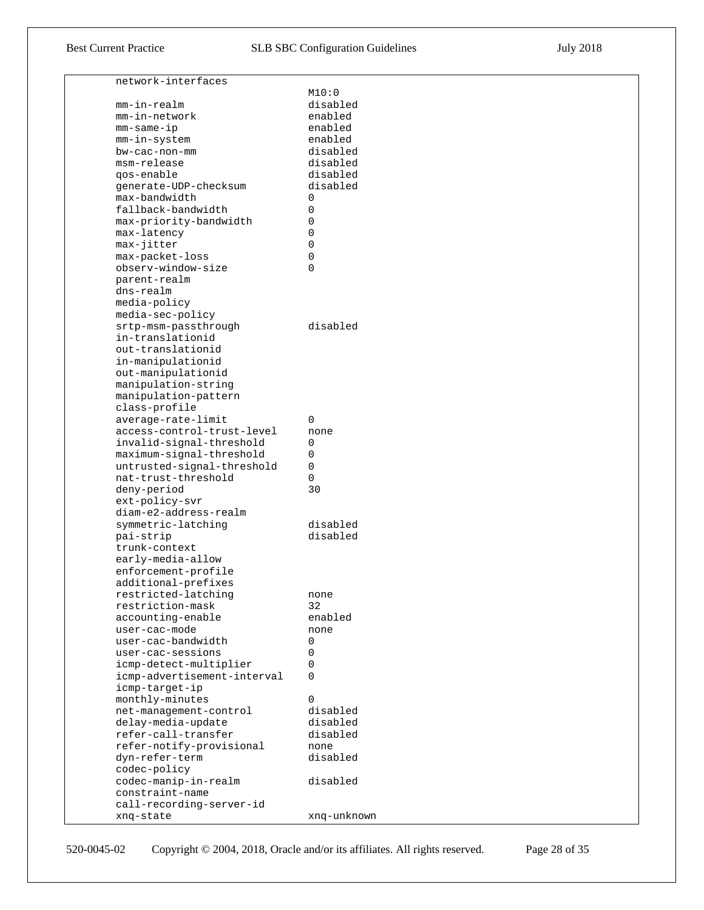| network-interfaces                    |               |
|---------------------------------------|---------------|
|                                       | M10:0         |
| mm-in-realm                           | disabled      |
| mm-in-network                         | enabled       |
| mm-same-ip                            | enabled       |
| mm-in-system                          | enabled       |
| bw-cac-non-mm                         | disabled      |
| msm-release                           | disabled      |
| qos-enable                            | disabled      |
| qenerate-UDP-checksum                 | disabled      |
| max-bandwidth                         | 0             |
| fallback-bandwidth                    | 0             |
| max-priority-bandwidth                | 0             |
| max-latency                           | 0             |
| max-jitter                            | 0             |
| max-packet-loss                       | 0             |
| observ-window-size                    | 0             |
| parent-realm                          |               |
| dns-realm                             |               |
| media-policy                          |               |
| media-sec-policy                      |               |
| srtp-msm-passthrough                  | disabled      |
| in-translationid                      |               |
| out-translationid                     |               |
| in-manipulationid                     |               |
| out-manipulationid                    |               |
| manipulation-string                   |               |
| manipulation-pattern                  |               |
| class-profile                         |               |
| average-rate-limit                    | 0             |
| access-control-trust-level            | none          |
| invalid-signal-threshold              | 0             |
| maximum-signal-threshold              | 0             |
| untrusted-signal-threshold            | 0             |
| nat-trust-threshold                   | 0             |
| deny-period                           | 30            |
| ext-policy-svr                        |               |
| diam-e2-address-realm                 |               |
| symmetric-latching                    | disabled      |
| pai-strip                             | disabled      |
| trunk-context                         |               |
| early-media-allow                     |               |
| enforcement-profile                   |               |
| additional-prefixes                   |               |
| restricted-latching                   | none          |
| restriction-mask<br>accounting-enable | 32<br>enabled |
| user-cac-mode                         |               |
| user-cac-bandwidth                    | none<br>0     |
| user-cac-sessions                     | 0             |
| icmp-detect-multiplier                | 0             |
| icmp-advertisement-interval           | 0             |
| icmp-target-ip                        |               |
| monthly-minutes                       | 0             |
| net-management-control                | disabled      |
| delay-media-update                    | disabled      |
| refer-call-transfer                   | disabled      |
| refer-notify-provisional              | none          |
| dyn-refer-term                        | disabled      |
| codec-policy                          |               |
| codec-manip-in-realm                  | disabled      |
| constraint-name                       |               |
| call-recording-server-id              |               |
| xnq-state                             | xnq-unknown   |
|                                       |               |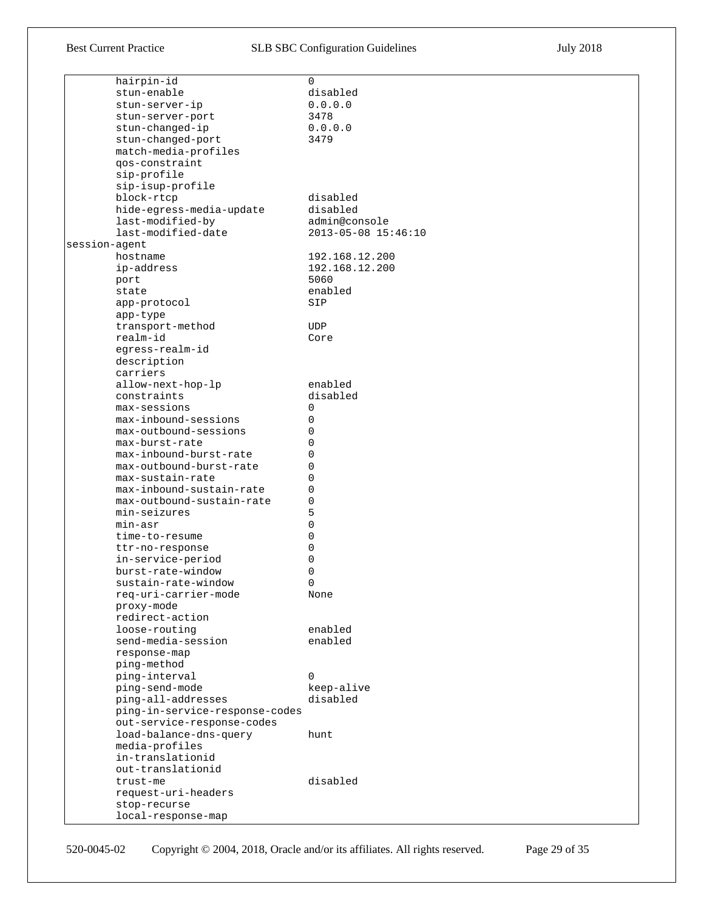| hairpin-id                     | 0                   |
|--------------------------------|---------------------|
| stun-enable                    | disabled            |
| stun-server-ip                 | 0.0.0.0             |
| stun-server-port               | 3478                |
| stun-changed-ip                | 0.0.0.0             |
| stun-changed-port              | 3479                |
| match-media-profiles           |                     |
| qos-constraint                 |                     |
| sip-profile                    |                     |
| sip-isup-profile               |                     |
| block-rtcp                     | disabled            |
| hide-egress-media-update       | disabled            |
| last-modified-by               | admin@console       |
| last-modified-date             | 2013-05-08 15:46:10 |
| session-agent                  |                     |
| hostname                       | 192.168.12.200      |
| ip-address                     | 192.168.12.200      |
| port                           | 5060                |
| state                          | enabled             |
| app-protocol                   | SIP                 |
| app-type                       |                     |
| transport-method               | <b>UDP</b>          |
| realm-id                       | Core                |
| egress-realm-id                |                     |
| description<br>carriers        |                     |
| allow-next-hop-lp              | enabled             |
| constraints                    | disabled            |
| max-sessions                   | 0                   |
| max-inbound-sessions           | 0                   |
| max-outbound-sessions          | 0                   |
| max-burst-rate                 | 0                   |
| max-inbound-burst-rate         | 0                   |
| max-outbound-burst-rate        | 0                   |
| max-sustain-rate               | 0                   |
| max-inbound-sustain-rate       | 0                   |
| max-outbound-sustain-rate      | 0                   |
| min-seizures                   | 5                   |
| min-asr                        | 0                   |
| time-to-resume                 | 0                   |
| ttr-no-response                | 0                   |
| in-service-period              | 0                   |
| burst-rate-window              | 0                   |
| sustain-rate-window            | 0                   |
| req-uri-carrier-mode           | None                |
| proxy-mode                     |                     |
| redirect-action                |                     |
| loose-routing                  | enabled             |
| send-media-session             | enabled             |
| response-map                   |                     |
| ping-method                    |                     |
| ping-interval                  | 0                   |
| ping-send-mode                 | keep-alive          |
| ping-all-addresses             | disabled            |
| ping-in-service-response-codes |                     |
| out-service-response-codes     |                     |
| load-balance-dns-query         | hunt                |
| media-profiles                 |                     |
| in-translationid               |                     |
| out-translationid              |                     |
| trust-me                       | disabled            |
| request-uri-headers            |                     |
| stop-recurse                   |                     |
| local-response-map             |                     |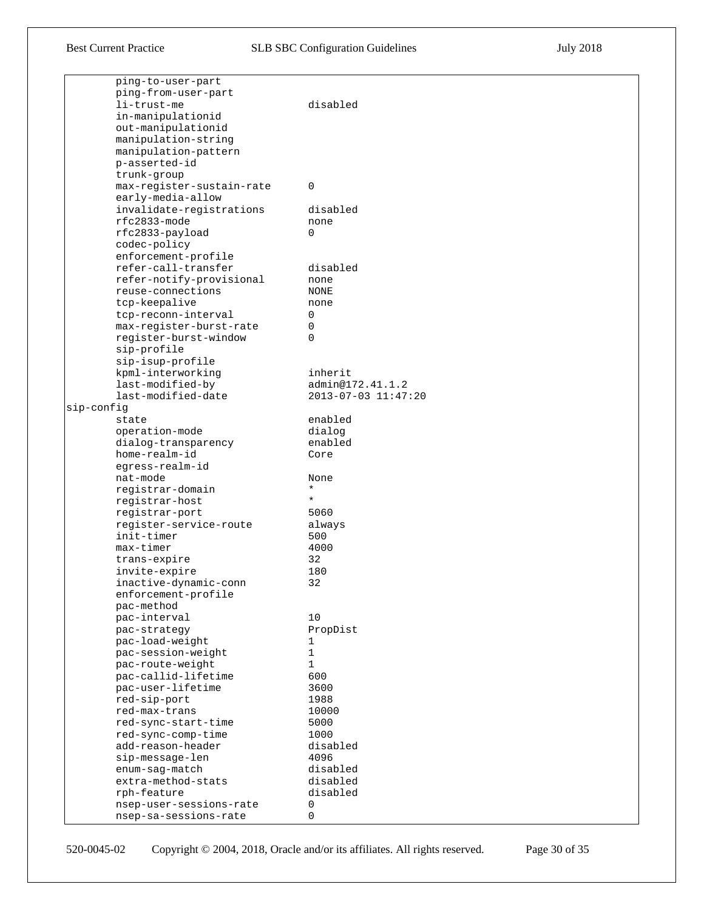| ping-to-user-part            |                     |
|------------------------------|---------------------|
| ping-from-user-part          |                     |
| li-trust-me                  | disabled            |
| in-manipulationid            |                     |
| out-manipulationid           |                     |
| manipulation-string          |                     |
| manipulation-pattern         |                     |
| p-asserted-id                |                     |
| trunk-group                  |                     |
| max-register-sustain-rate    | 0                   |
| early-media-allow            |                     |
| invalidate-registrations     | disabled            |
| $rfc2833$ -mode              | none                |
| rfc2833-payload              | $\Omega$            |
| codec-policy                 |                     |
| enforcement-profile          |                     |
| refer-call-transfer          | disabled            |
| refer-notify-provisional     | none                |
| reuse-connections            | NONE                |
| tcp-keepalive                | none                |
| tcp-reconn-interval          | 0                   |
| max-register-burst-rate      | 0                   |
| register-burst-window        | 0                   |
| sip-profile                  |                     |
| sip-isup-profile             |                     |
| kpml-interworking            | inherit             |
| last-modified-by             | admin@172.41.1.2    |
| last-modified-date           | 2013-07-03 11:47:20 |
| sip-config                   |                     |
| state                        | enabled             |
| operation-mode               | dialog              |
| dialog-transparency          | enabled             |
| home-realm-id                | Core                |
| egress-realm-id              |                     |
| nat-mode<br>registrar-domain | None<br>$^\star$    |
| registrar-host               | $\star$             |
| registrar-port               | 5060                |
| register-service-route       | always              |
| init-timer                   | 500                 |
| max-timer                    | 4000                |
| trans-expire                 | 32                  |
| invite-expire                | 180                 |
| inactive-dynamic-conn        | 32                  |
| enforcement-profile          |                     |
| pac-method                   |                     |
| pac-interval                 | 10                  |
| pac-strategy                 | PropDist            |
| pac-load-weight              | 1                   |
| pac-session-weight           | $\mathbf{1}$        |
| pac-route-weight             | 1                   |
| pac-callid-lifetime          | 600                 |
| pac-user-lifetime            | 3600                |
| red-sip-port                 | 1988                |
| red-max-trans                | 10000               |
| red-sync-start-time          | 5000                |
| red-sync-comp-time           | 1000                |
| add-reason-header            | disabled            |
| sip-message-len              | 4096                |
| enum-saq-match               | disabled            |
| extra-method-stats           | disabled            |
| rph-feature                  | disabled            |
| nsep-user-sessions-rate      | 0                   |
| nsep-sa-sessions-rate        | 0                   |

520-0045-02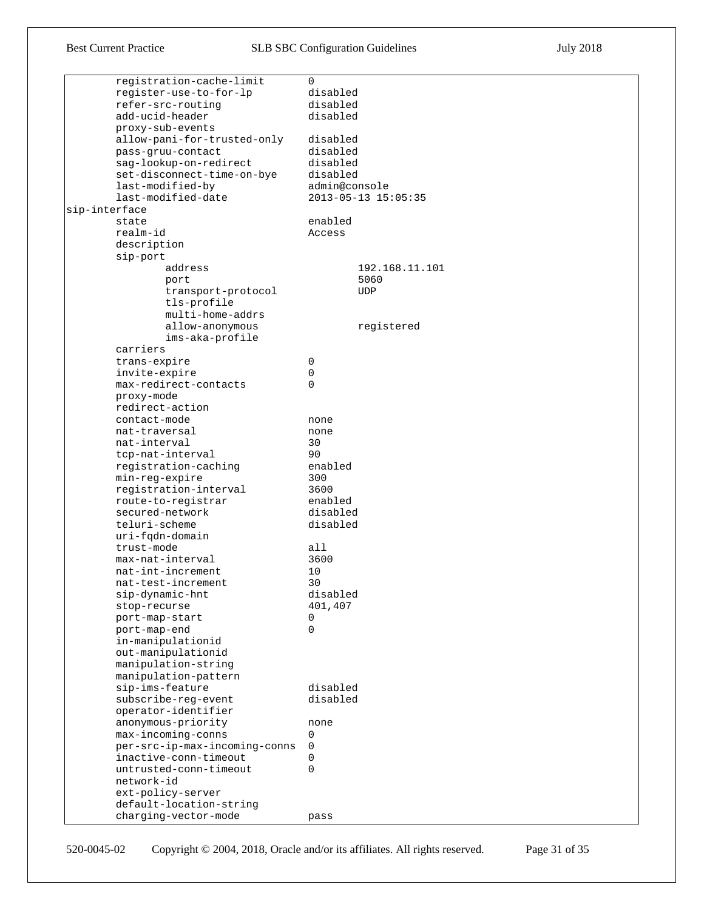| registration-cache-limit                       | 0                    |
|------------------------------------------------|----------------------|
| register-use-to-for-lp                         | disabled             |
| refer-src-routing                              | disabled             |
| add-ucid-header                                | disabled             |
| proxy-sub-events                               |                      |
| allow-pani-for-trusted-only                    | disabled             |
| pass-gruu-contact                              | disabled             |
| sag-lookup-on-redirect                         | disabled<br>disabled |
| set-disconnect-time-on-bye<br>last-modified-by | admin@console        |
| last-modified-date                             | 2013-05-13 15:05:35  |
| sip-interface                                  |                      |
| state                                          | enabled              |
| realm-id                                       | Access               |
| description                                    |                      |
| sip-port                                       |                      |
| address                                        | 192.168.11.101       |
| port                                           | 5060                 |
| transport-protocol                             | <b>UDP</b>           |
| tls-profile                                    |                      |
| multi-home-addrs                               |                      |
| allow-anonymous<br>ims-aka-profile             | registered           |
| carriers                                       |                      |
| trans-expire                                   | 0                    |
| invite-expire                                  | 0                    |
| max-redirect-contacts                          | 0                    |
| proxy-mode                                     |                      |
| redirect-action                                |                      |
| contact-mode                                   | none                 |
| nat-traversal                                  | none                 |
| nat-interval                                   | 30                   |
| tcp-nat-interval                               | 90                   |
| registration-caching                           | enabled              |
| min-reg-expire                                 | 300                  |
| registration-interval<br>route-to-registrar    | 3600<br>enabled      |
| secured-network                                | disabled             |
| teluri-scheme                                  | disabled             |
| uri-fqdn-domain                                |                      |
| trust-mode                                     | all                  |
| max-nat-interval                               | 3600                 |
| nat-int-increment                              | 10                   |
| nat-test-increment                             | 30                   |
| sip-dynamic-hnt                                | disabled             |
| stop-recurse                                   | 401,407              |
| port-map-start                                 | 0                    |
| port-map-end                                   | 0                    |
| in-manipulationid                              |                      |
| out-manipulationid<br>manipulation-string      |                      |
| manipulation-pattern                           |                      |
| sip-ims-feature                                | disabled             |
| subscribe-req-event                            | disabled             |
| operator-identifier                            |                      |
| anonymous-priority                             | none                 |
| max-incoming-conns                             | 0                    |
| per-src-ip-max-incoming-conns                  | 0                    |
| inactive-conn-timeout                          | 0                    |
| untrusted-conn-timeout                         | 0                    |
| network-id                                     |                      |
| ext-policy-server                              |                      |
| default-location-string                        |                      |
| charging-vector-mode                           | pass                 |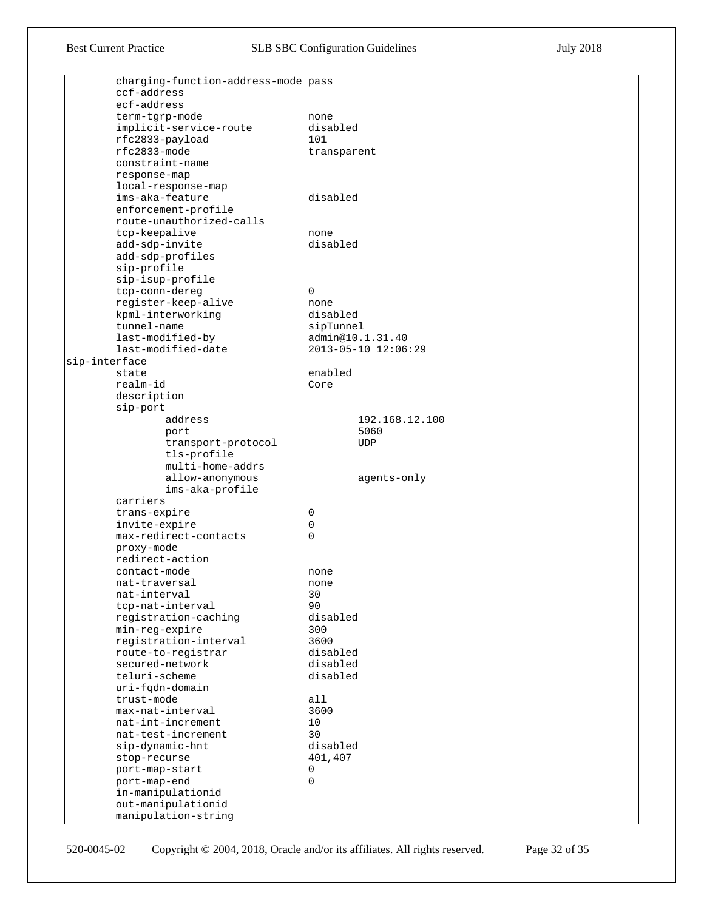| charging-function-address-mode pass |                     |
|-------------------------------------|---------------------|
| ccf-address                         |                     |
| ecf-address                         |                     |
| term-tgrp-mode                      | none                |
| implicit-service-route              | disabled            |
| rfc2833-payload                     | 101                 |
| rfc2833-mode                        | transparent         |
| constraint-name                     |                     |
| response-map                        |                     |
| local-response-map                  |                     |
| ims-aka-feature                     | disabled            |
| enforcement-profile                 |                     |
| route-unauthorized-calls            |                     |
| tcp-keepalive                       | none                |
| add-sdp-invite                      | disabled            |
| add-sdp-profiles                    |                     |
| sip-profile                         |                     |
| sip-isup-profile                    |                     |
| tcp-conn-dereg                      | 0                   |
| register-keep-alive                 | none                |
| kpml-interworking                   | disabled            |
| tunnel-name                         | sipTunnel           |
| last-modified-by                    | admin@10.1.31.40    |
| last-modified-date                  | 2013-05-10 12:06:29 |
| sip-interface                       |                     |
| state                               | enabled             |
| realm-id                            | Core                |
| description                         |                     |
| sip-port                            |                     |
| address                             | 192.168.12.100      |
| port                                | 5060                |
| transport-protocol                  | <b>UDP</b>          |
| tls-profile<br>multi-home-addrs     |                     |
| allow-anonymous                     |                     |
| ims-aka-profile                     | agents-only         |
| carriers                            |                     |
| trans-expire                        | 0                   |
| invite-expire                       | 0                   |
| max-redirect-contacts               | 0                   |
| proxy-mode                          |                     |
| redirect-action                     |                     |
| contact-mode                        | none                |
| nat-traversal                       | none                |
| nat-interval                        | 30                  |
| tcp-nat-interval                    | 90                  |
| registration-caching                | disabled            |
| min-reg-expire                      | 300                 |
| registration-interval               | 3600                |
| route-to-registrar                  | disabled            |
| secured-network                     | disabled            |
| teluri-scheme                       | disabled            |
| uri-fqdn-domain                     |                     |
| trust-mode                          | all                 |
| max-nat-interval                    | 3600                |
| nat-int-increment                   | 10                  |
| nat-test-increment                  | 30                  |
| sip-dynamic-hnt                     | disabled            |
| stop-recurse                        | 401,407             |
| port-map-start<br>port-map-end      | 0<br>0              |
| in-manipulationid                   |                     |
| out-manipulationid                  |                     |
| manipulation-string                 |                     |
|                                     |                     |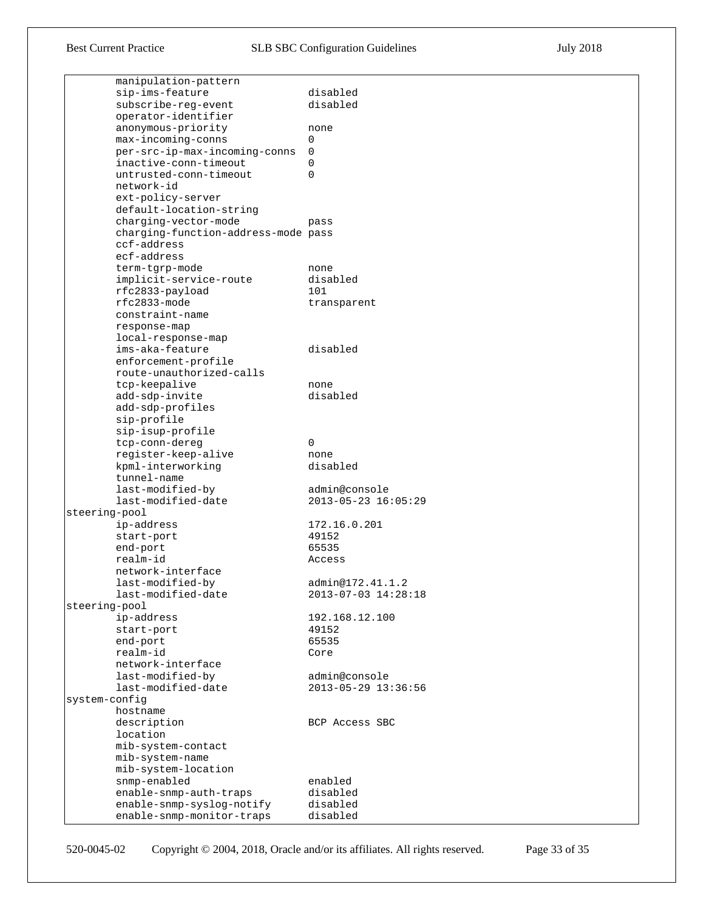| manipulation-pattern                |                     |
|-------------------------------------|---------------------|
| sip-ims-feature                     | disabled            |
| subscribe-reg-event                 | disabled            |
| operator-identifier                 |                     |
| anonymous-priority                  | none                |
| max-incoming-conns                  | 0                   |
| per-src-ip-max-incoming-conns       | 0                   |
| inactive-conn-timeout               | 0                   |
| untrusted-conn-timeout              | $\Omega$            |
| network-id                          |                     |
| ext-policy-server                   |                     |
| default-location-string             |                     |
| charging-vector-mode                | pass                |
| charging-function-address-mode pass |                     |
| ccf-address                         |                     |
| ecf-address                         |                     |
| term-tgrp-mode                      | none                |
| implicit-service-route              | disabled            |
| rfc2833-payload<br>$rfc2833-mode$   | 101                 |
| constraint-name                     | transparent         |
|                                     |                     |
| response-map<br>local-response-map  |                     |
| ims-aka-feature                     | disabled            |
| enforcement-profile                 |                     |
| route-unauthorized-calls            |                     |
| tcp-keepalive                       | none                |
| add-sdp-invite                      | disabled            |
| add-sdp-profiles                    |                     |
| sip-profile                         |                     |
| sip-isup-profile                    |                     |
| tcp-conn-dereg                      | 0                   |
| register-keep-alive                 | none                |
| kpml-interworking                   | disabled            |
| tunnel-name                         |                     |
| last-modified-by                    | admin@console       |
| last-modified-date                  | 2013-05-23 16:05:29 |
| steering-pool                       |                     |
| ip-address                          | 172.16.0.201        |
| start-port                          | 49152               |
| end-port                            | 65535               |
| realm-id                            | Access              |
| network-interface                   |                     |
| last-modified-by                    | admin@172.41.1.2    |
| last-modified-date                  | 2013-07-03 14:28:18 |
| steering-pool<br>ip-address         | 192.168.12.100      |
| start-port                          | 49152               |
| end-port                            | 65535               |
| realm-id                            | Core                |
| network-interface                   |                     |
| last-modified-by                    | admin@console       |
| last-modified-date                  | 2013-05-29 13:36:56 |
| system-config                       |                     |
| hostname                            |                     |
| description                         | BCP Access SBC      |
| location                            |                     |
| mib-system-contact                  |                     |
| mib-system-name                     |                     |
| mib-system-location                 |                     |
| snmp-enabled                        | enabled             |
| enable-snmp-auth-traps              | disabled            |
| enable-snmp-syslog-notify           | disabled            |
| enable-snmp-monitor-traps           | disabled            |

520-0045-02